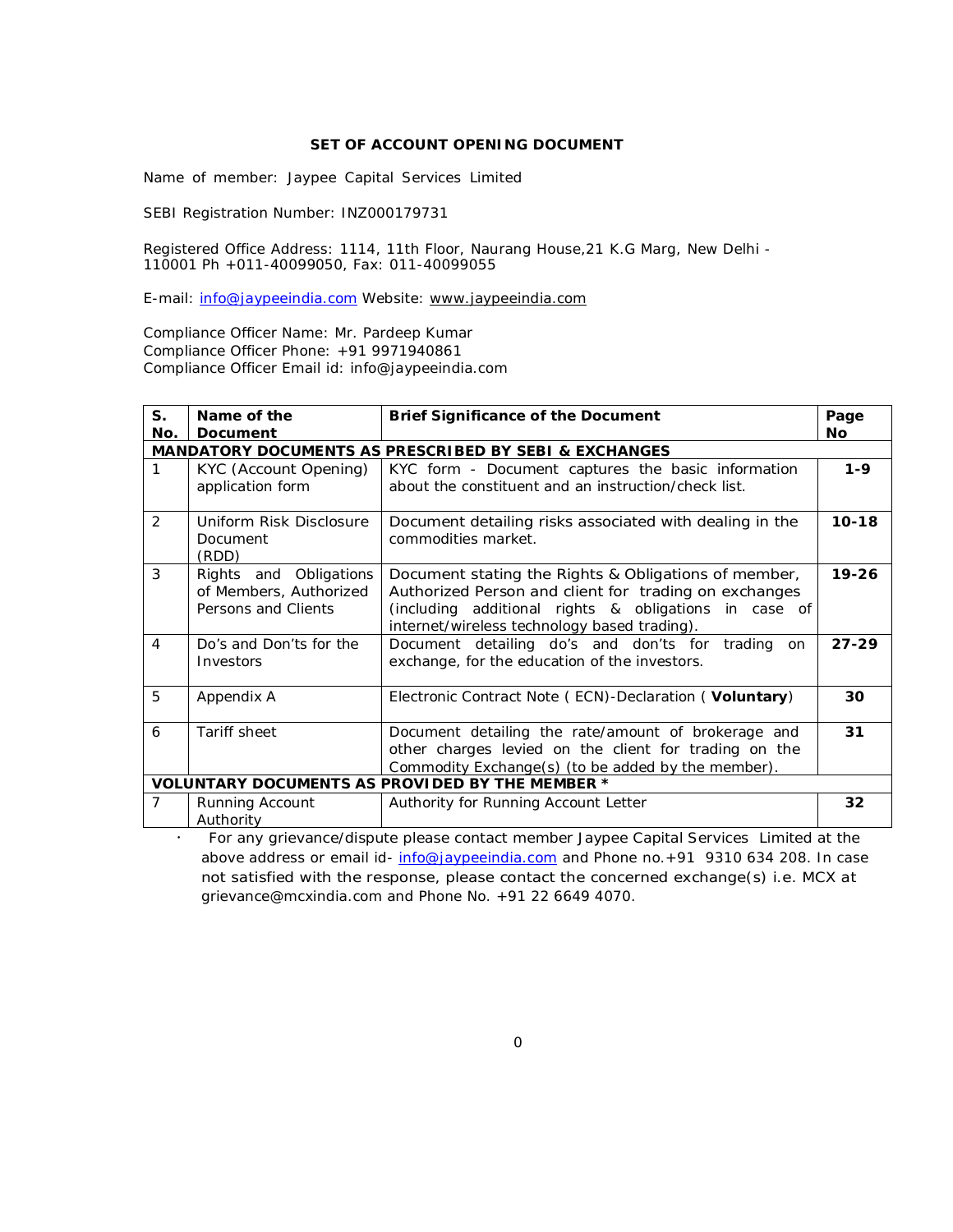### **SET OF ACCOUNT OPENING DOCUMENT**

Name of member: Jaypee Capital Services Limited

SEBI Registration Number: INZ000179731

Registered Office Address: 1114, 11th Floor, Naurang House,21 K.G Marg, New Delhi - 110001 Ph +011-40099050, Fax: 011-40099055

E-mail: info@jaypeeindia.com Website: www.jaypeeindia.com

Compliance Officer Name: Mr. Pardeep Kumar Compliance Officer Phone: +91 9971940861 Compliance Officer Email id: info@jaypeeindia.com

| $S_{1}$        | Name of the             | <b>Brief Significance of the Document</b>                                                             | Page      |
|----------------|-------------------------|-------------------------------------------------------------------------------------------------------|-----------|
| No.            | Document                |                                                                                                       | <b>No</b> |
|                |                         | <b>MANDATORY DOCUMENTS AS PRESCRIBED BY SEBI &amp; EXCHANGES</b>                                      |           |
| 1              | KYC (Account Opening)   | KYC form - Document captures the basic information                                                    | $1 - 9$   |
|                | application form        | about the constituent and an instruction/check list.                                                  |           |
| 2              | Uniform Risk Disclosure | Document detailing risks associated with dealing in the                                               | $10 - 18$ |
|                | Document<br>(RDD)       | commodities market.                                                                                   |           |
| 3              | Rights and Obligations  | Document stating the Rights & Obligations of member,                                                  | $19 - 26$ |
|                | of Members, Authorized  | Authorized Person and client for trading on exchanges                                                 |           |
|                | Persons and Clients     | (including additional rights & obligations in case of<br>internet/wireless technology based trading). |           |
| $\overline{4}$ | Do's and Don'ts for the | Document detailing do's and don'ts for trading<br>on                                                  | $27 - 29$ |
|                | Investors               | exchange, for the education of the investors.                                                         |           |
| 5              | Appendix A              | Electronic Contract Note (ECN)-Declaration (Voluntary)                                                | 30        |
|                |                         |                                                                                                       |           |
| 6              | Tariff sheet            | Document detailing the rate/amount of brokerage and                                                   | 31        |
|                |                         | other charges levied on the client for trading on the                                                 |           |
|                |                         | Commodity Exchange(s) (to be added by the member).                                                    |           |
|                |                         | <b>VOLUNTARY DOCUMENTS AS PROVIDED BY THE MEMBER *</b>                                                |           |
| $\overline{7}$ | Running Account         | Authority for Running Account Letter                                                                  | 32        |
|                | Authority               |                                                                                                       |           |

 *For any grievance/dispute please contact member Jaypee Capital Services Limited at the above address or email id- info@jaypeeindia.com and Phone no.+91* 9310 634 208*. In case not satisfied with the response, please contact the concerned exchange(s) i.e. MCX at grievance@mcxindia.com and Phone No. +91 22 6649 4070.*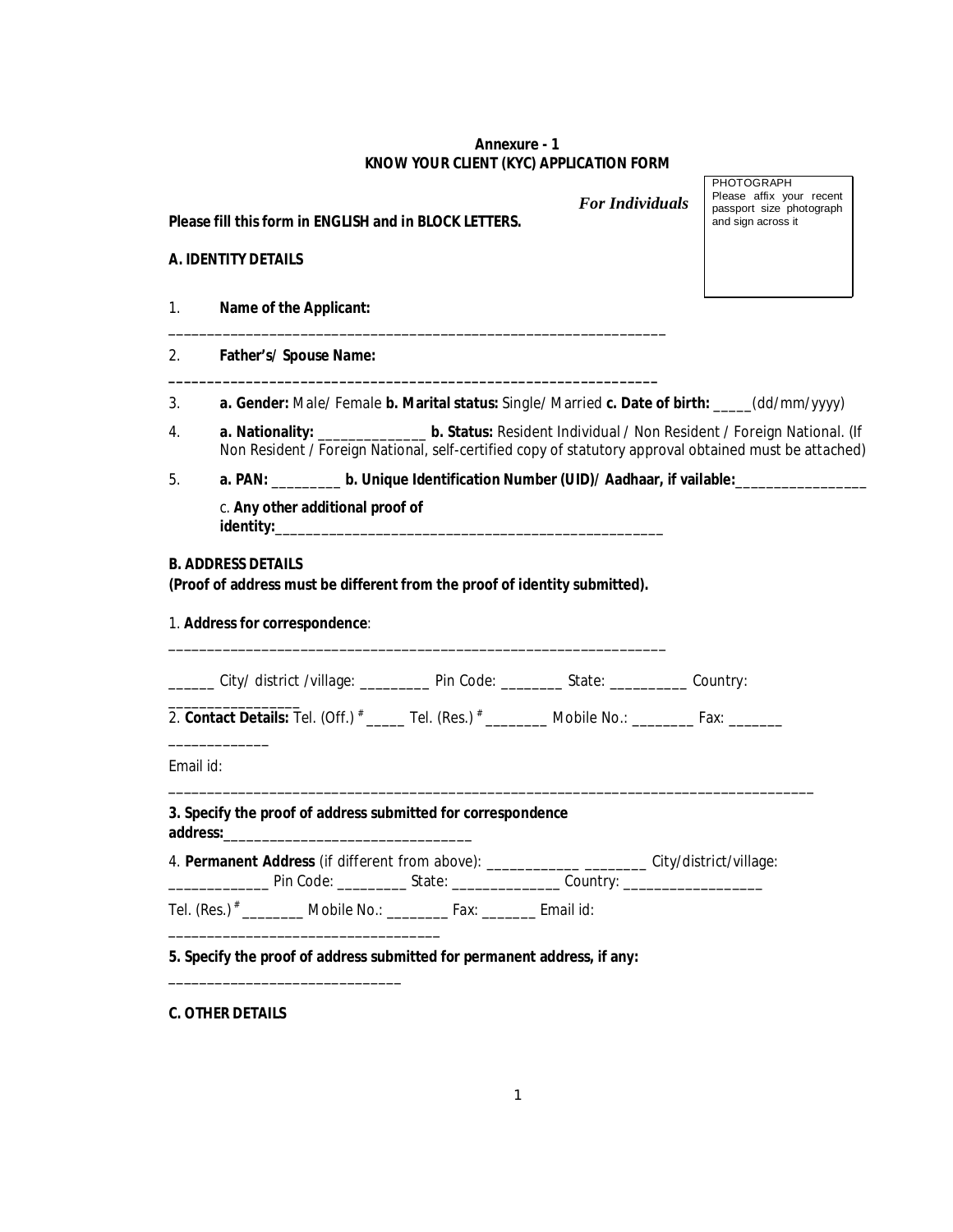### **Annexure - 1 KNOW YOUR CLIENT (KYC) APPLICATION FORM**

*For Individuals*

### **Please fill this form in ENGLISH and in BLOCK LETTERS.**

### **A. IDENTITY DETAILS**

- 1. **Name of the Applicant:**
- 2. **Father's/ Spouse Name:**
- 3. **a. Gender:** Male/ Female **b. Marital status:** Single/ Married **c. Date of birth:** \_\_\_\_\_(dd/mm/yyyy)
- 4. **a. Nationality:** \_\_\_\_\_\_\_\_\_\_\_\_\_\_ **b. Status:** Resident Individual / Non Resident / Foreign National. (If Non Resident / Foreign National, self-certified copy of statutory approval obtained must be attached)
- 5. **a. PAN:** \_\_\_\_\_\_\_\_\_ **b. Unique Identification Number (UID)/ Aadhaar, if vailable:**\_\_\_\_\_\_\_\_\_\_\_\_\_\_\_\_\_

c. **Any other additional proof of identity:**\_\_\_\_\_\_\_\_\_\_\_\_\_\_\_\_\_\_\_\_\_\_\_\_\_\_\_\_\_\_\_\_\_\_\_\_\_\_\_\_\_\_\_\_\_\_\_\_\_\_

### **B. ADDRESS DETAILS**

**(Proof of address must be different from the proof of identity submitted).** 

\_\_\_\_\_\_\_\_\_\_\_\_\_\_\_\_\_\_\_\_\_\_\_\_\_\_\_\_\_\_\_\_\_\_\_\_\_\_\_\_\_\_\_\_\_\_\_\_\_\_\_\_\_\_\_\_\_\_\_\_\_\_\_\_

**\_\_\_\_\_\_\_\_\_\_\_\_\_\_\_\_\_\_\_\_\_\_\_\_\_\_\_\_\_\_\_\_\_\_\_\_\_\_\_\_\_\_\_\_\_\_\_\_\_\_\_\_\_\_\_\_\_\_\_\_\_\_\_**

1. **Address for correspondence**:

|           |                                                              | ______ City/ district /village: _________ Pin Code: ________ State: _________ Country:                               |  |
|-----------|--------------------------------------------------------------|----------------------------------------------------------------------------------------------------------------------|--|
|           |                                                              | 2. Contact Details: Tel. (Off.) <sup>#</sup> _____ Tel. (Res.) <sup>#</sup> ________ Mobile No.: _______ Fax: ______ |  |
| Email id: |                                                              |                                                                                                                      |  |
|           |                                                              |                                                                                                                      |  |
|           | 3. Specify the proof of address submitted for correspondence |                                                                                                                      |  |
|           |                                                              | 4. Permanent Address (if different from above): _________________ City/district/village:                             |  |

**C. OTHER DETAILS** 

\_\_\_\_\_\_\_\_\_\_\_\_\_\_\_\_\_\_\_\_\_\_\_\_\_\_\_\_\_\_

PHOTOGRAPH Please affix your recent passport size photograph and sign across it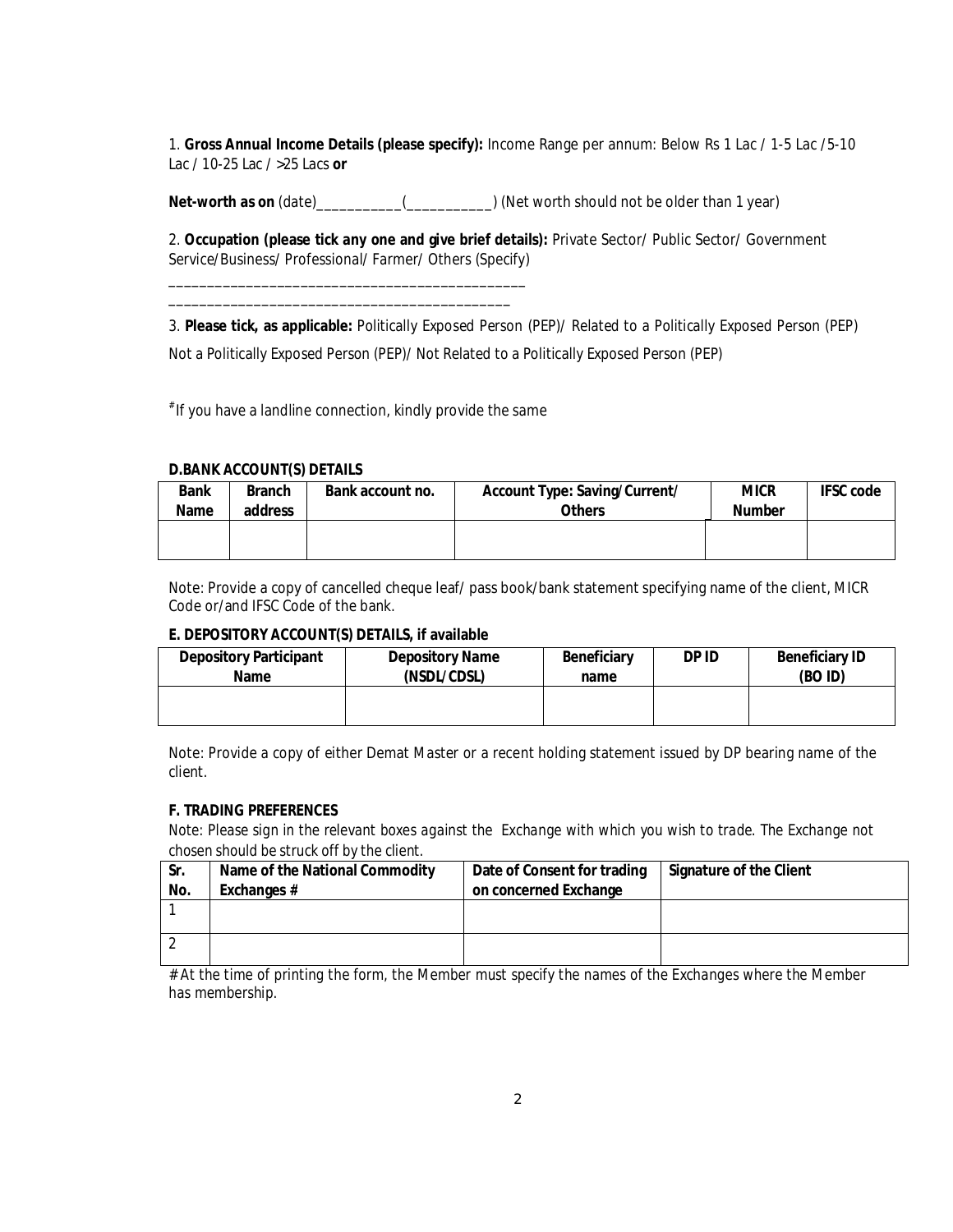1. **Gross Annual Income Details (please specify):** Income Range per annum: Below Rs 1 Lac / 1-5 Lac /5-10 Lac / 10-25 Lac / >25 Lacs **or** 

**Net-worth as on** (date)\_\_\_\_\_\_\_\_\_\_\_(\_\_\_\_\_\_\_\_\_\_\_) (Net worth should not be older than 1 year)

2. **Occupation (please tick any one and give brief details):** Private Sector/ Public Sector/ Government Service/Business/ Professional/ Farmer/ Others (Specify)

\_\_\_\_\_\_\_\_\_\_\_\_\_\_\_\_\_\_\_\_\_\_\_\_\_\_\_\_\_\_\_\_\_\_\_\_\_\_\_\_\_\_\_\_\_\_ \_\_\_\_\_\_\_\_\_\_\_\_\_\_\_\_\_\_\_\_\_\_\_\_\_\_\_\_\_\_\_\_\_\_\_\_\_\_\_\_\_\_\_\_

3. **Please tick, as applicable:** Politically Exposed Person (PEP)/ Related to a Politically Exposed Person (PEP) Not a Politically Exposed Person (PEP)/ Not Related to a Politically Exposed Person (PEP)

# If you have a landline connection, kindly provide the same

### **D.BANK ACCOUNT(S) DETAILS**

| <b>Bank</b><br><b>Name</b> | <b>Branch</b><br>address | Bank account no. | <b>Account Type: Saving/Current/</b><br><b>Others</b> | <b>MICR</b><br><b>Number</b> | <b>IFSC code</b> |
|----------------------------|--------------------------|------------------|-------------------------------------------------------|------------------------------|------------------|
|                            |                          |                  |                                                       |                              |                  |

Note: Provide a copy of cancelled cheque leaf/ pass book/bank statement specifying name of the client, MICR Code or/and IFSC Code of the bank.

### **E. DEPOSITORY ACCOUNT(S) DETAILS, if available**

| <b>Depository Participant</b> | <b>Depository Name</b> | <b>Beneficiary</b> | DP ID | <b>Beneficiary ID</b> |
|-------------------------------|------------------------|--------------------|-------|-----------------------|
| <b>Name</b>                   | (NSDL/CDSL)            | name               |       | (BO ID)               |
|                               |                        |                    |       |                       |

Note: Provide a copy of either Demat Master or a recent holding statement issued by DP bearing name of the client.

### **F. TRADING PREFERENCES**

*Note: Please sign in the relevant boxes against the Exchange with which you wish to trade. The Exchange not chosen should be struck off by the client.* 

| Sr. | Name of the National Commodity | Date of Consent for trading | <b>Signature of the Client</b> |
|-----|--------------------------------|-----------------------------|--------------------------------|
| No. | Exchanges #                    | on concerned Exchange       |                                |
|     |                                |                             |                                |
|     |                                |                             |                                |
|     |                                |                             |                                |
|     |                                |                             |                                |

*# At the time of printing the form, the Member must specify the names of the Exchanges where the Member has membership.*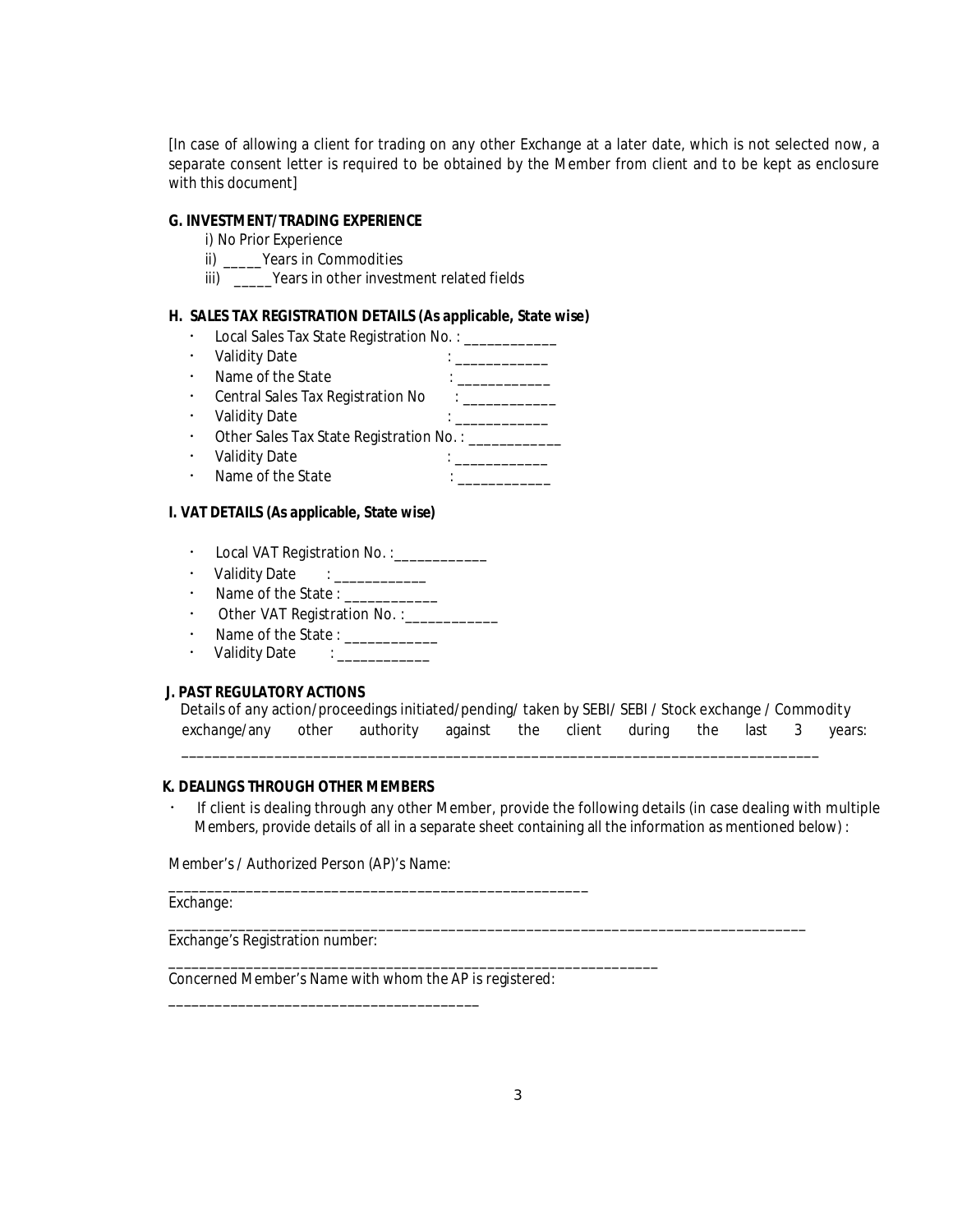[In case of allowing a client for trading on any other Exchange at a later date, which is not selected now, a separate consent letter is required to be obtained by the Member from client and to be kept as enclosure with this document]

#### **G. INVESTMENT/TRADING EXPERIENCE**

- i) No Prior Experience
- ii) \_\_\_\_\_Years in Commodities
- iii) \_\_\_\_\_\_Years in other investment related fields

#### **H. SALES TAX REGISTRATION DETAILS (As applicable, State wise)**

- Local Sales Tax State Registration No.: \_\_\_\_\_\_\_\_\_
- Validity Date  $\qquad \qquad : \qquad \qquad$
- Name of the State : \_\_\_\_\_\_\_\_\_\_\_\_
- Central Sales Tax Registration No : \_\_\_\_\_\_\_\_\_\_\_
- Validity Date : \_\_\_\_\_\_\_\_\_\_\_\_
- Other Sales Tax State Registration No.: \_\_\_\_\_\_\_\_\_\_\_
- Validity Date : \_\_\_\_\_\_\_\_\_\_\_\_ • Name of the State  $\qquad \qquad : \qquad \qquad$
- 

# **I. VAT DETAILS (As applicable, State wise)**

- Local VAT Registration No. : \_\_\_\_\_\_\_\_\_\_\_
- $\cdot$  Validity Date : \_\_\_\_\_\_\_\_\_\_
- $\cdot$  Name of the State : \_\_\_\_\_\_\_\_\_\_\_
- Other VAT Registration No. : \_\_\_\_\_\_\_\_\_\_\_\_
- Name of the State : \_\_\_\_\_\_\_\_\_\_\_\_
- Validity Date :

### **J. PAST REGULATORY ACTIONS**

| Details of any action/proceedings initiated/pending/ taken by SEBI/ SEBI / Stock exchange / Commodity |  |  |  |  |  |
|-------------------------------------------------------------------------------------------------------|--|--|--|--|--|
| exchange/any other authority against the client during the last 3 years:                              |  |  |  |  |  |

\_\_\_\_\_\_\_\_\_\_\_\_\_\_\_\_\_\_\_\_\_\_\_\_\_\_\_\_\_\_\_\_\_\_\_\_\_\_\_\_\_\_\_\_\_\_\_\_\_\_\_\_\_\_\_\_\_\_\_\_\_\_\_\_\_\_\_\_\_\_\_\_\_\_\_\_\_\_\_\_\_\_

\_\_\_\_\_\_\_\_\_\_\_\_\_\_\_\_\_\_\_\_\_\_\_\_\_\_\_\_\_\_\_\_\_\_\_\_\_\_\_\_\_\_\_\_\_\_\_\_\_\_\_\_\_\_\_\_\_\_\_\_\_\_\_\_\_\_\_\_\_\_\_\_\_\_\_\_\_\_\_\_\_\_

### **K. DEALINGS THROUGH OTHER MEMBERS**

 If client is dealing through any other Member, provide the following details (in case dealing with multiple Members, provide details of all in a separate sheet containing all the information as mentioned below) :

Member's / Authorized Person (AP)'s Name:

Exchange:

Exchange's Registration number:

Concerned Member's Name with whom the AP is registered:

\_\_\_\_\_\_\_\_\_\_\_\_\_\_\_\_\_\_\_\_\_\_\_\_\_\_\_\_\_\_\_\_\_\_\_\_\_\_\_\_

\_\_\_\_\_\_\_\_\_\_\_\_\_\_\_\_\_\_\_\_\_\_\_\_\_\_\_\_\_\_\_\_\_\_\_\_\_\_\_\_\_\_\_\_\_\_\_\_\_\_\_\_\_\_

\_\_\_\_\_\_\_\_\_\_\_\_\_\_\_\_\_\_\_\_\_\_\_\_\_\_\_\_\_\_\_\_\_\_\_\_\_\_\_\_\_\_\_\_\_\_\_\_\_\_\_\_\_\_\_\_\_\_\_\_\_\_\_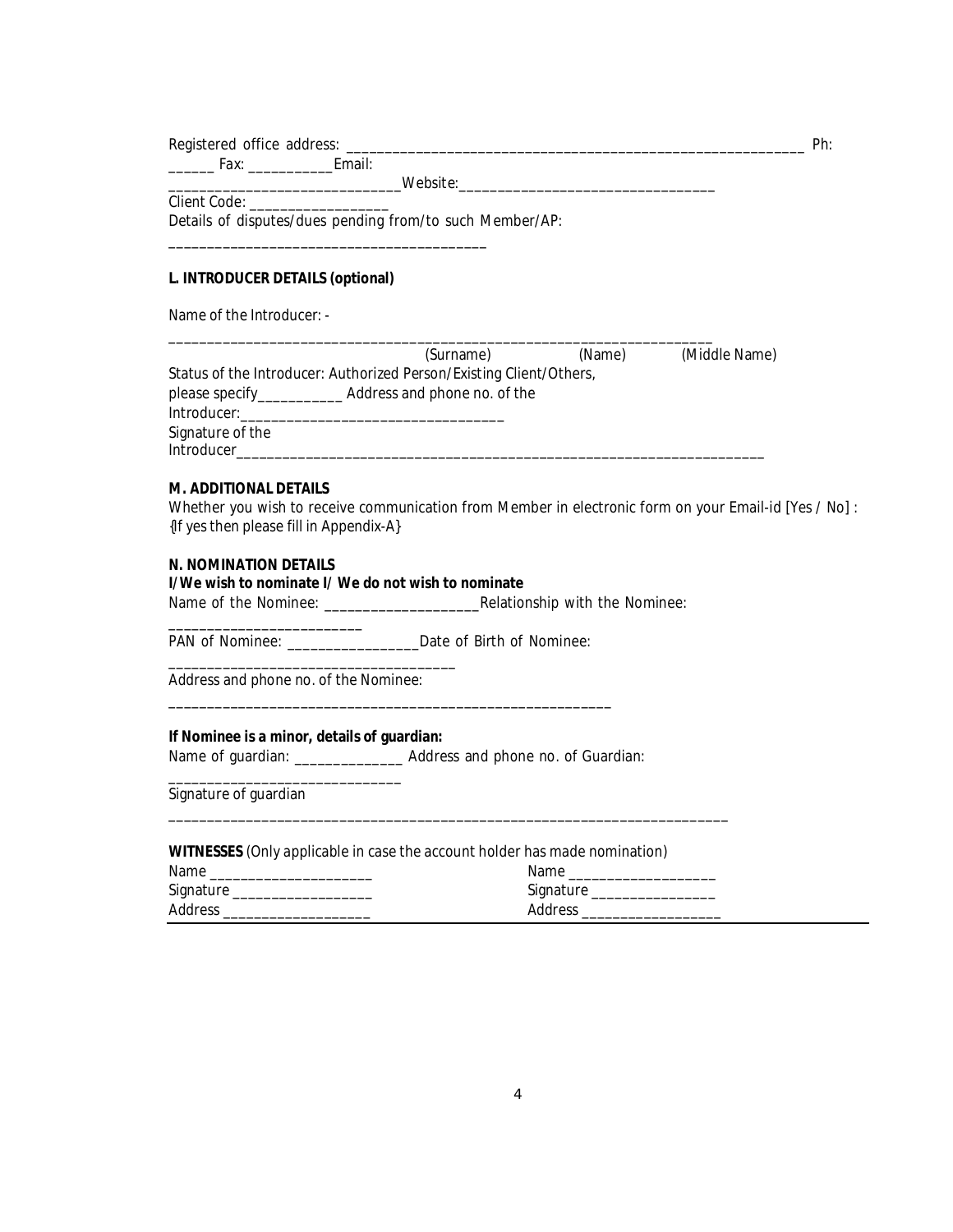Registered office address: \_\_\_\_\_\_\_\_\_\_\_\_\_\_\_\_\_\_\_\_\_\_\_\_\_\_\_\_\_\_\_\_\_\_\_\_\_\_\_\_\_\_\_\_\_\_\_\_\_\_\_\_\_\_\_\_\_\_\_ Ph:

\_\_\_\_\_\_ Fax: \_\_\_\_\_\_\_\_\_\_\_Email: \_\_\_\_\_\_\_\_\_\_\_\_\_\_\_\_\_\_\_\_\_\_\_\_\_\_\_\_\_\_Website:\_\_\_\_\_\_\_\_\_\_\_\_\_\_\_\_\_\_\_\_\_\_\_\_\_\_\_\_\_\_\_\_\_

Client Code:

Details of disputes/dues pending from/to such Member/AP:

\_\_\_\_\_\_\_\_\_\_\_\_\_\_\_\_\_\_\_\_\_\_\_\_\_\_\_\_\_\_\_\_\_\_\_\_\_\_\_\_\_

### **L. INTRODUCER DETAILS (optional)**

Name of the Introducer: -

|                  | (Surname)                                                           | (Name) | (Middle Name) |
|------------------|---------------------------------------------------------------------|--------|---------------|
|                  | Status of the Introducer: Authorized Person/Existing Client/Others, |        |               |
|                  |                                                                     |        |               |
| Introducer:      |                                                                     |        |               |
| Signature of the |                                                                     |        |               |
| Introducer       |                                                                     |        |               |

\_\_\_\_\_\_\_\_\_\_\_\_\_\_\_\_\_\_\_\_\_\_\_\_\_\_\_\_\_\_\_\_\_\_\_\_\_\_\_\_\_\_\_\_\_\_\_\_\_\_\_\_\_\_\_\_\_\_\_\_\_\_\_\_\_\_\_\_\_\_

### **M. ADDITIONAL DETAILS**

Whether you wish to receive communication from Member in electronic form on your Email-id [Yes / No] : {If yes then please fill in Appendix-A}

### **N. NOMINATION DETAILS**

#### **I/We wish to nominate I/ We do not wish to nominate**

Name of the Nominee: \_\_\_\_\_\_\_\_\_\_\_\_\_\_\_\_\_\_\_\_Relationship with the Nominee:

\_\_\_\_\_\_\_\_\_\_\_\_\_\_\_\_\_\_\_\_\_\_\_\_\_ PAN of Nominee: \_\_\_\_\_\_\_\_\_\_\_\_\_\_\_\_\_\_\_\_\_Date of Birth of Nominee:

\_\_\_\_\_\_\_\_\_\_\_\_\_\_\_\_\_\_\_\_\_\_\_\_\_\_\_\_\_\_\_\_\_\_\_\_\_\_\_\_\_\_\_\_\_\_\_\_\_\_\_\_\_\_\_\_\_

Address and phone no. of the Nominee:

\_\_\_\_\_\_\_\_\_\_\_\_\_\_\_\_\_\_\_\_\_\_\_\_\_\_\_\_\_\_\_\_\_\_\_\_\_

### **If Nominee is a minor, details of guardian:**

\_\_\_\_\_\_\_\_\_\_\_\_\_\_\_\_\_\_\_\_\_\_\_\_\_\_\_\_\_\_

Name of guardian: \_\_\_\_\_\_\_\_\_\_\_\_\_\_\_\_ Address and phone no. of Guardian:

Signature of guardian

**WITNESSES** (Only applicable in case the account holder has made nomination)

| Name      | Name      |
|-----------|-----------|
| Signature | Signature |
| Address   | Address   |

\_\_\_\_\_\_\_\_\_\_\_\_\_\_\_\_\_\_\_\_\_\_\_\_\_\_\_\_\_\_\_\_\_\_\_\_\_\_\_\_\_\_\_\_\_\_\_\_\_\_\_\_\_\_\_\_\_\_\_\_\_\_\_\_\_\_\_\_\_\_\_\_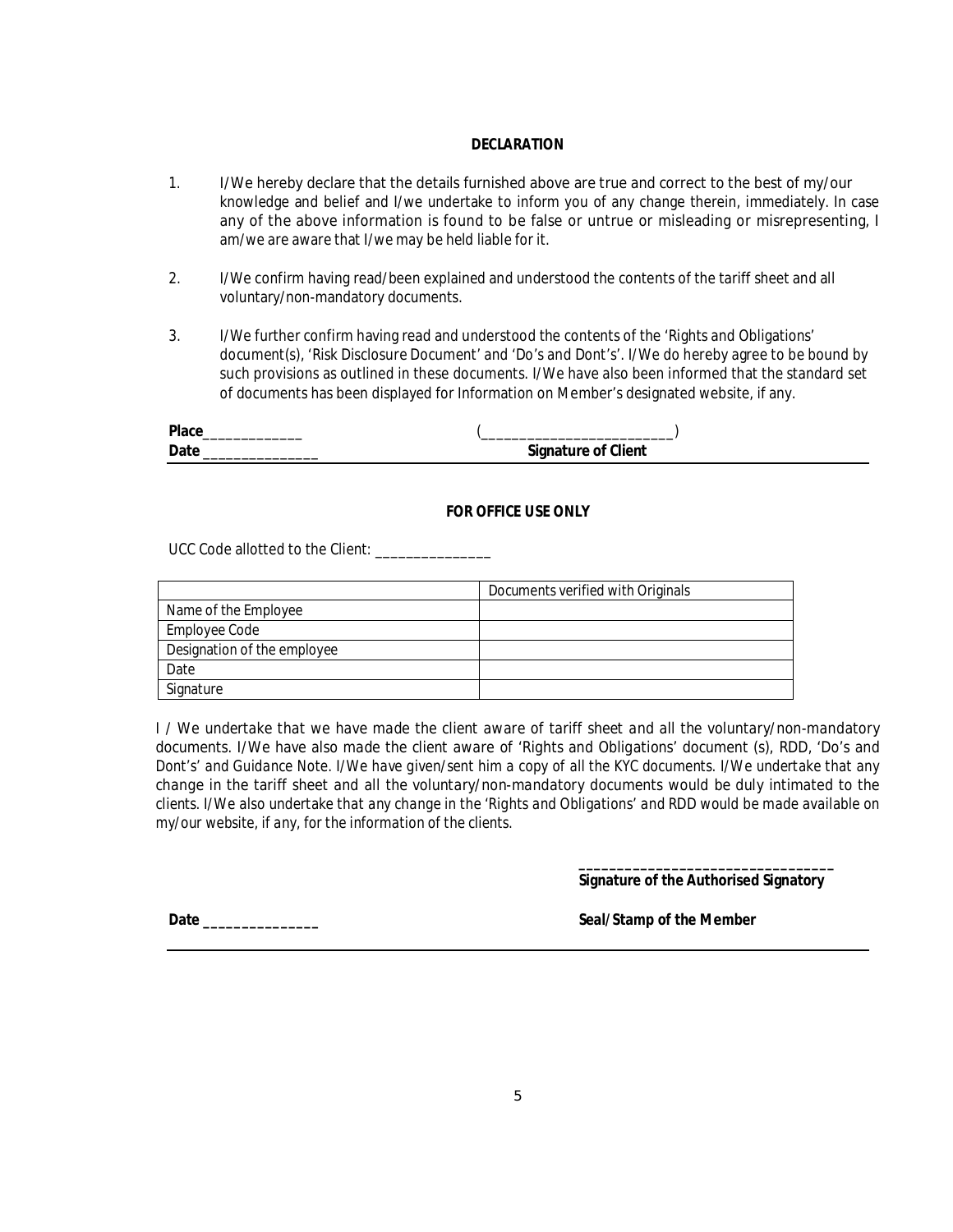### **DECLARATION**

- 1. I/We hereby declare that the details furnished above are true and correct to the best of my/our knowledge and belief and I/we undertake to inform you of any change therein, immediately. In case any of the above information is found to be false or untrue or misleading or misrepresenting, I am/we are aware that I/we may be held liable for it.
- 2. I/We confirm having read/been explained and understood the contents of the tariff sheet and all voluntary/non-mandatory documents.
- 3. I/We further confirm having read and understood the contents of the 'Rights and Obligations' document(s), 'Risk Disclosure Document' and 'Do's and Dont's'. I/We do hereby agree to be bound by such provisions as outlined in these documents. I/We have also been informed that the standard set of documents has been displayed for Information on Member's designated website, if any.

| <b>Place</b> |                            |
|--------------|----------------------------|
| Date         | <b>Signature of Client</b> |

### **FOR OFFICE USE ONLY**

UCC Code allotted to the Client: \_\_\_\_\_\_\_\_\_\_\_\_\_\_\_

|                             | Documents verified with Originals |
|-----------------------------|-----------------------------------|
| Name of the Employee        |                                   |
| Employee Code               |                                   |
| Designation of the employee |                                   |
| Date                        |                                   |
| Signature                   |                                   |

*I / We undertake that we have made the client aware of tariff sheet and all the voluntary/non-mandatory documents. I/We have also made the client aware of 'Rights and Obligations' document (s), RDD, 'Do's and Dont's' and Guidance Note. I/We have given/sent him a copy of all the KYC documents. I/We undertake that any change in the tariff sheet and all the voluntary/non-mandatory documents would be duly intimated to the clients. I/We also undertake that any change in the 'Rights and Obligations' and RDD would be made available on my/our website, if any, for the information of the clients.* 

> **\_\_\_\_\_\_\_\_\_\_\_\_\_\_\_\_\_\_\_\_\_\_\_\_\_\_\_\_\_\_\_\_\_ Signature of the Authorised Signatory**

**Date \_\_\_\_\_\_\_\_\_\_\_\_\_\_\_ Seal/Stamp of the Member**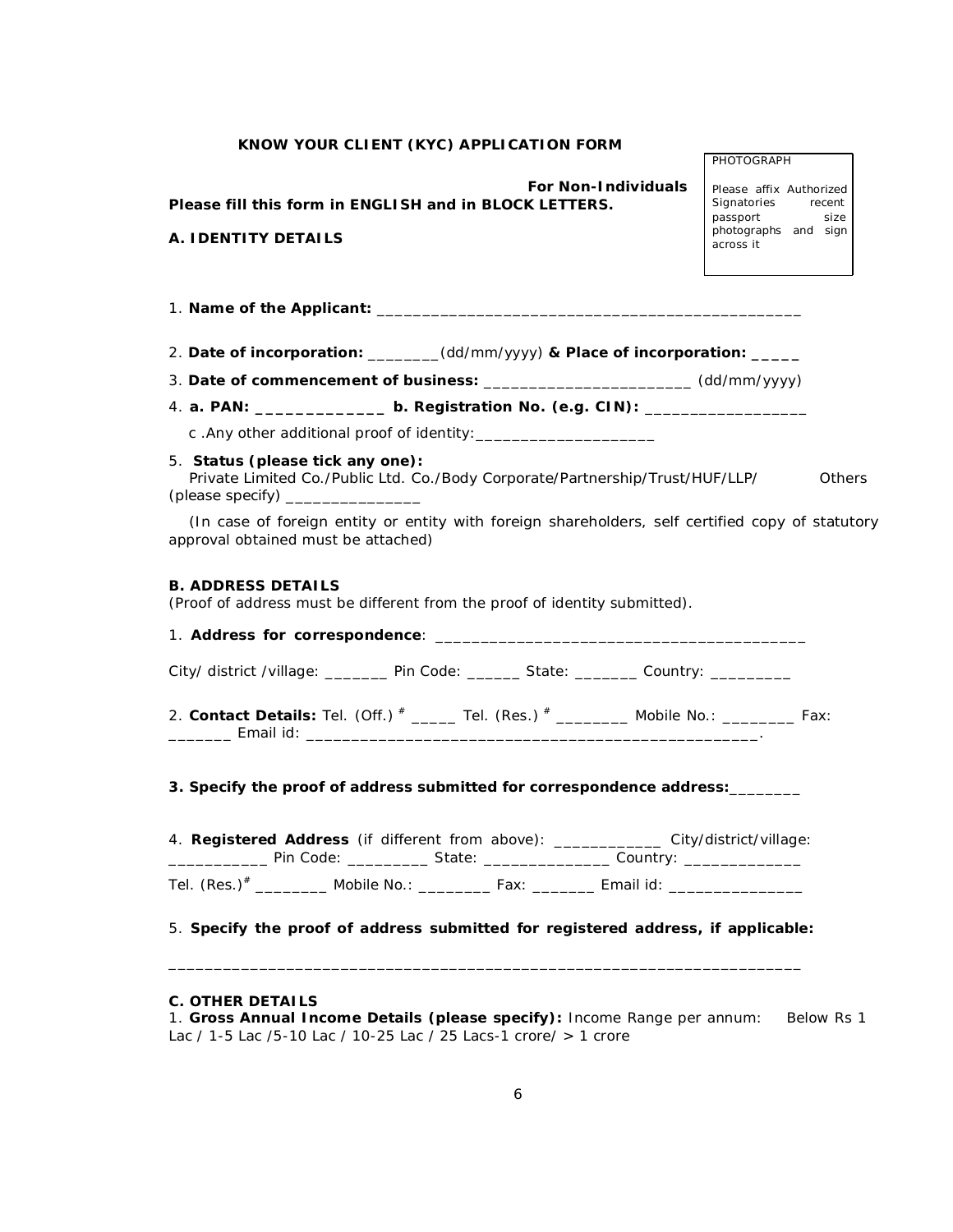*For Non-Individuals* **Please fill this form in ENGLISH and in BLOCK LETTERS.**

Please affix Authorized<br>Signatories recent Signatories passport size photographs and sign across it

PHOTOGRAPH

| A. IDENTITY DETAILS |
|---------------------|
|---------------------|

| 2. Date of incorporation: ______(dd/mm/yyyy) & Place of incorporation: _____                                                            |               |
|-----------------------------------------------------------------------------------------------------------------------------------------|---------------|
| 3. Date of commencement of business: _________________________(dd/mm/yyyy)                                                              |               |
| 4. a. PAN: __________________b. Registration No. (e.g. CIN): ___________________                                                        |               |
|                                                                                                                                         |               |
| 5. Status (please tick any one):<br>Private Limited Co./Public Ltd. Co./Body Corporate/Partnership/Trust/HUF/LLP/                       | <b>Others</b> |
| (In case of foreign entity or entity with foreign shareholders, self certified copy of statutory<br>approval obtained must be attached) |               |
| <b>B. ADDRESS DETAILS</b><br>(Proof of address must be different from the proof of identity submitted).                                 |               |
|                                                                                                                                         |               |
| City/ district /village: ________ Pin Code: _______ State: _______ Country: ________                                                    |               |
| 2. Contact Details: Tel. (Off.) $*$ _____ Tel. (Res.) $*$ _______ Mobile No.: _______ Fax:                                              |               |
| 3. Specify the proof of address submitted for correspondence address:________                                                           |               |

4. **Registered Address** (if different from above): \_\_\_\_\_\_\_\_\_\_\_\_ City/district/village: \_\_\_\_\_\_\_\_\_\_\_\_\_\_ Pin Code: \_\_\_\_\_\_\_\_\_\_\_ State: \_\_\_\_\_\_\_\_\_\_\_\_\_\_\_\_\_\_ Country: \_\_\_\_\_\_\_\_\_\_\_\_\_\_

Tel. (Res.)<sup>#</sup> \_\_\_\_\_\_\_\_\_ Mobile No.: \_\_\_\_\_\_\_\_ Fax: \_\_\_\_\_\_\_\_ Email id: \_\_\_\_\_\_\_\_\_\_\_\_

5. **Specify the proof of address submitted for registered address, if applicable:** 

\_\_\_\_\_\_\_\_\_\_\_\_\_\_\_\_\_\_\_\_\_\_\_\_\_\_\_\_\_\_\_\_\_\_\_\_\_\_\_\_\_\_\_\_\_\_\_\_\_\_\_\_\_\_\_\_\_\_\_\_\_\_\_\_\_\_\_\_\_\_

### **C. OTHER DETAILS**

1. **Gross Annual Income Details (please specify):** Income Range per annum: Below Rs 1 Lac / 1-5 Lac /5-10 Lac / 10-25 Lac / 25 Lacs-1 crore/ > 1 crore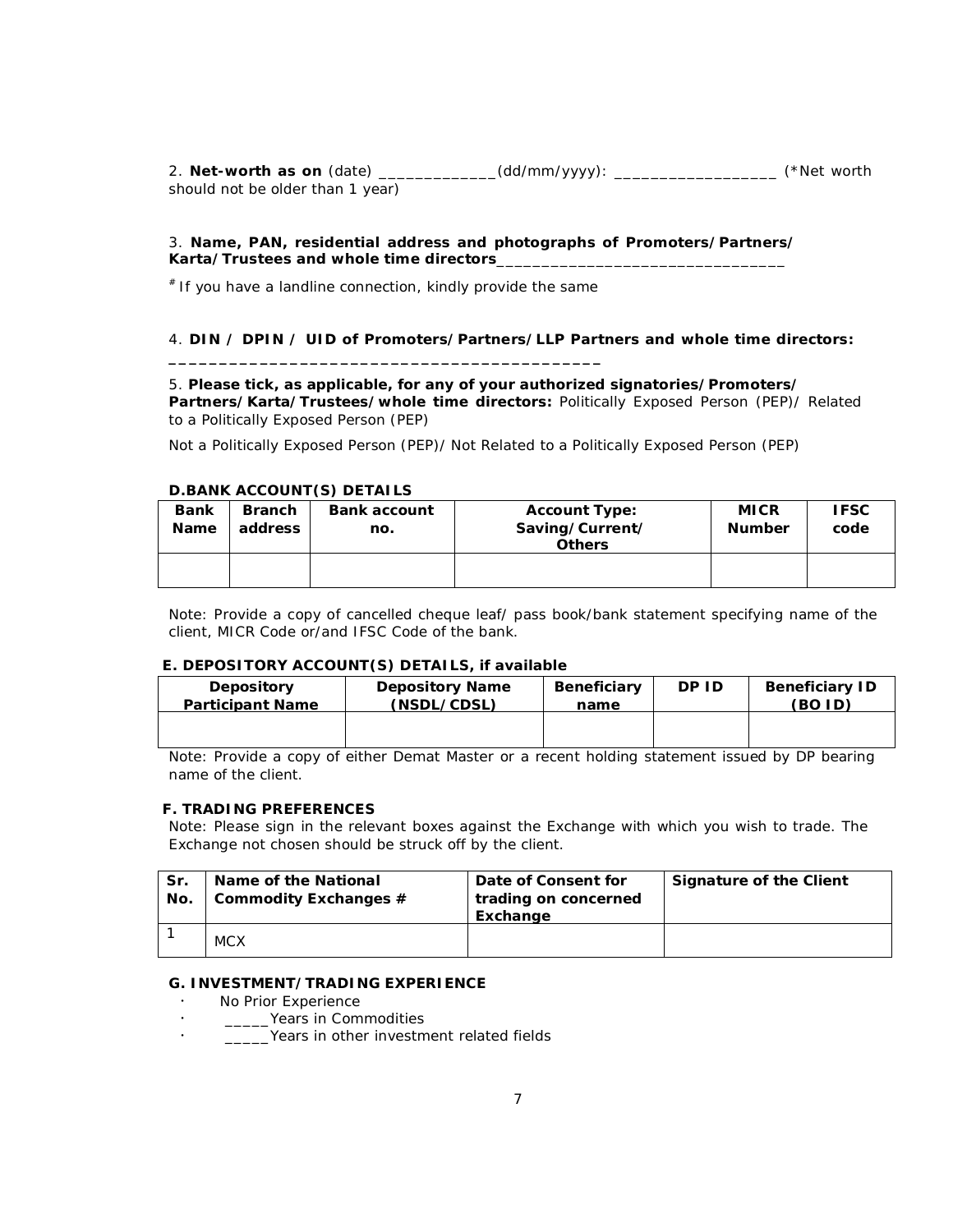2. **Net-worth as on** (date) \_\_\_\_\_\_\_\_\_\_\_\_\_(dd/mm/yyyy): \_\_\_\_\_\_\_\_\_\_\_\_\_\_\_\_\_\_ *(\*Net worth should not be older than 1 year)* 

#### 3. **Name, PAN, residential address and photographs of Promoters/Partners/ Karta/Trustees and whole time directors**\_\_\_\_\_\_\_\_\_\_\_\_\_\_\_\_\_\_\_\_\_\_\_\_\_\_\_\_\_\_\_\_

# If you have a landline connection, kindly provide the same

**\_\_\_\_\_\_\_\_\_\_\_\_\_\_\_\_\_\_\_\_\_\_\_\_\_\_\_\_\_\_\_\_\_\_\_\_\_\_\_\_\_\_\_** 

### 4. **DIN / DPIN / UID of Promoters/Partners/LLP Partners and whole time directors:**

5. **Please tick, as applicable, for any of your authorized signatories/Promoters/ Partners/Karta/Trustees/whole time directors:** Politically Exposed Person (PEP)/ Related to a Politically Exposed Person (PEP)

Not a Politically Exposed Person (PEP)/ Not Related to a Politically Exposed Person (PEP)

#### **D.BANK ACCOUNT(S) DETAILS**

| <b>Bank</b><br><b>Name</b> | <b>Branch</b><br>address | <b>Bank account</b><br>no. | <b>Account Type:</b><br>Saving/Current/<br><b>Others</b> | <b>MICR</b><br><b>Number</b> | <b>IFSC</b><br>code |
|----------------------------|--------------------------|----------------------------|----------------------------------------------------------|------------------------------|---------------------|
|                            |                          |                            |                                                          |                              |                     |

Note: Provide a copy of cancelled cheque leaf/ pass book/bank statement specifying name of the client, MICR Code or/and IFSC Code of the bank.

#### **E. DEPOSITORY ACCOUNT(S) DETAILS, if available**

| <b>Depository</b>       | <b>Depository Name</b> | <b>Beneficiary</b> | DP ID | <b>Beneficiary ID</b> |
|-------------------------|------------------------|--------------------|-------|-----------------------|
| <b>Participant Name</b> | (NSDL/CDSL)            | name               |       | (BO ID)               |
|                         |                        |                    |       |                       |

Note: Provide a copy of either Demat Master or a recent holding statement issued by DP bearing name of the client.

#### **F. TRADING PREFERENCES**

*Note: Please sign in the relevant boxes against the Exchange with which you wish to trade. The Exchange not chosen should be struck off by the client.* 

| Sr.<br>No. | Name of the National<br>Commodity Exchanges # | Date of Consent for<br>trading on concerned<br>Exchange | Signature of the Client |
|------------|-----------------------------------------------|---------------------------------------------------------|-------------------------|
|            | <b>MCX</b>                                    |                                                         |                         |

#### **G. INVESTMENT/TRADING EXPERIENCE**

- No Prior Experience
- . <u>\_\_\_\_\_\_\_\_</u>Years in Commodities<br>Noars in other investments
- \_\_\_\_\_Years in other investment related fields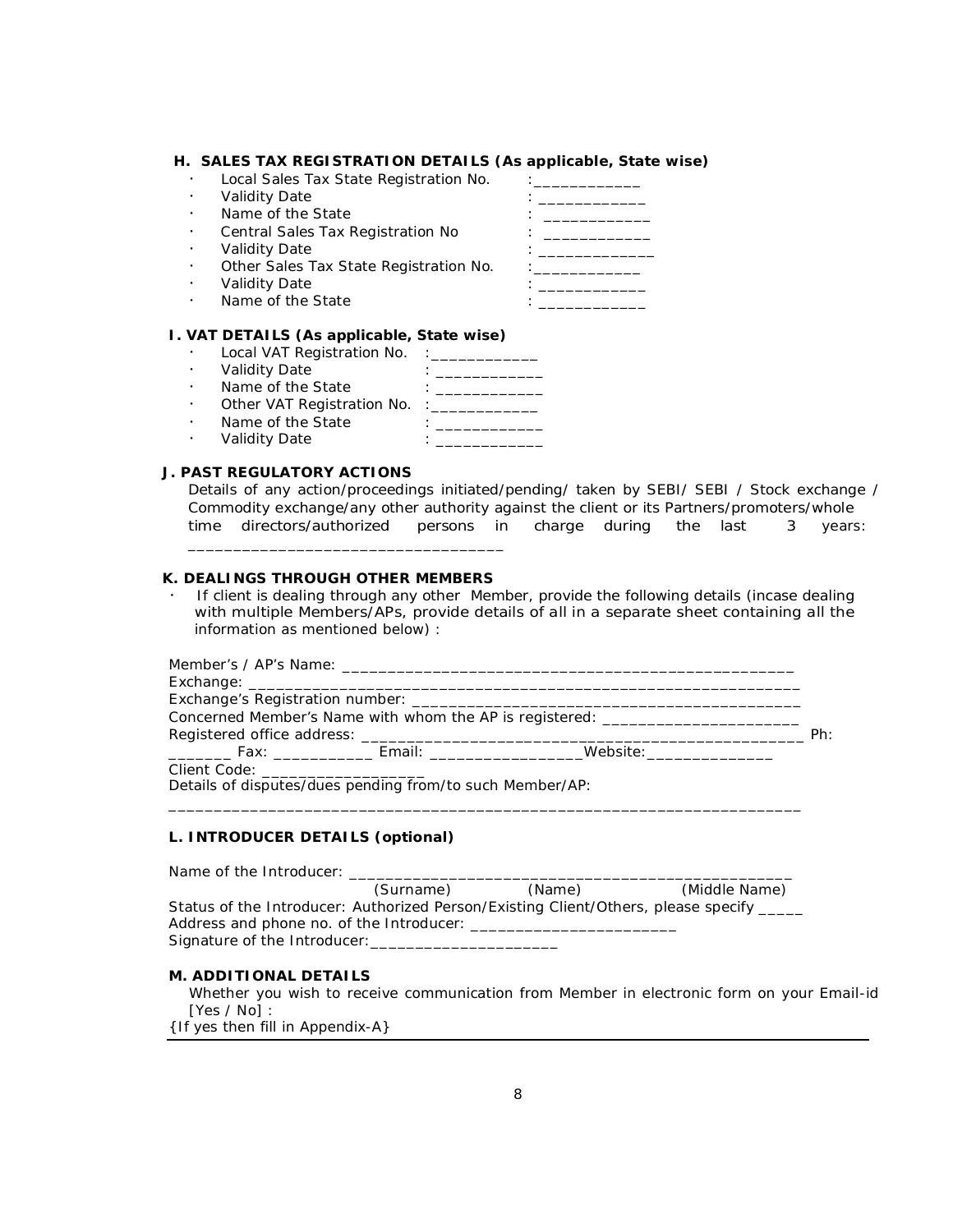#### **H. SALES TAX REGISTRATION DETAILS (As applicable, State wise)**

- Local Sales Tax State Registration No. : \_\_\_\_\_\_\_
- Validity Date
- Name of the State  $\cdot$  is the state in the state  $\cdot$  is the state in the state in the state in the state in the state in the state in the state in the state in the state in the state in the state in the state in the sta
- Central Sales Tax Registration No : \_\_\_\_\_\_\_\_\_\_\_\_\_\_
- 
- Other Sales Tax State Registration No. : \_\_\_\_\_\_\_\_\_\_\_\_
- 
- 
- Validity Date : \_\_\_\_\_\_\_\_\_\_\_\_\_ Validity Date : \_\_\_\_\_\_\_\_\_\_\_\_ Name of the State : \_\_\_\_\_\_\_\_\_\_\_\_

### **I. VAT DETAILS (As applicable, State wise)**

- Local VAT Registration No. : \_\_\_\_\_\_\_\_\_\_\_\_
- Validity Date : \_\_\_\_\_\_\_\_\_\_\_\_\_
- Name of the State  $\qquad \qquad :$  \_\_\_\_\_\_\_\_\_\_\_\_ Name of the State : \_\_\_\_\_\_\_\_\_\_\_\_<br>Other VAT Registration No. :\_\_\_\_\_\_\_\_\_\_\_\_\_\_\_\_\_\_\_
- Name of the State  $\qquad \qquad : \qquad \qquad$
- Validity Date : \_\_\_\_\_\_\_\_\_\_\_\_

### **J. PAST REGULATORY ACTIONS**

Details of any action/proceedings initiated/pending/ taken by SEBI/ SEBI / Stock exchange / Commodity exchange/any other authority against the client or its Partners/promoters/whole time directors/authorized persons in charge during the last 3 years:

#### **K. DEALINGS THROUGH OTHER MEMBERS**

\_\_\_\_\_\_\_\_\_\_\_\_\_\_\_\_\_\_\_\_\_\_\_\_\_\_\_\_\_\_\_\_\_\_\_

 If client is dealing through any other Member, provide the following details (incase dealing with multiple Members/APs, provide details of all in a separate sheet containing all the information as mentioned below) :

|                                     |                                                    | Concerned Member's Name with whom the AP is registered: _______________________ |     |
|-------------------------------------|----------------------------------------------------|---------------------------------------------------------------------------------|-----|
|                                     |                                                    |                                                                                 | Ph. |
|                                     | _________ Fax: ______________ Email: _____________ | Website:________________                                                        |     |
| Client Code: ______________________ |                                                    |                                                                                 |     |

Details of disputes/dues pending from/to such Member/AP:

#### **L. INTRODUCER DETAILS (optional)**

| Name of the Introducer:                                                                 |           |        |               |
|-----------------------------------------------------------------------------------------|-----------|--------|---------------|
|                                                                                         | (Surname) | (Name) | (Middle Name) |
| Status of the Introducer: Authorized Person/Existing Client/Others, please specify ____ |           |        |               |
|                                                                                         |           |        |               |
| Signature of the Introducer: _____________                                              |           |        |               |

\_\_\_\_\_\_\_\_\_\_\_\_\_\_\_\_\_\_\_\_\_\_\_\_\_\_\_\_\_\_\_\_\_\_\_\_\_\_\_\_\_\_\_\_\_\_\_\_\_\_\_\_\_\_\_\_\_\_\_\_\_\_\_\_\_\_\_\_\_\_

#### **M. ADDITIONAL DETAILS**

Whether you wish to receive communication from Member in electronic form on your Email-id [Yes / No] :

{If yes then fill in Appendix-A}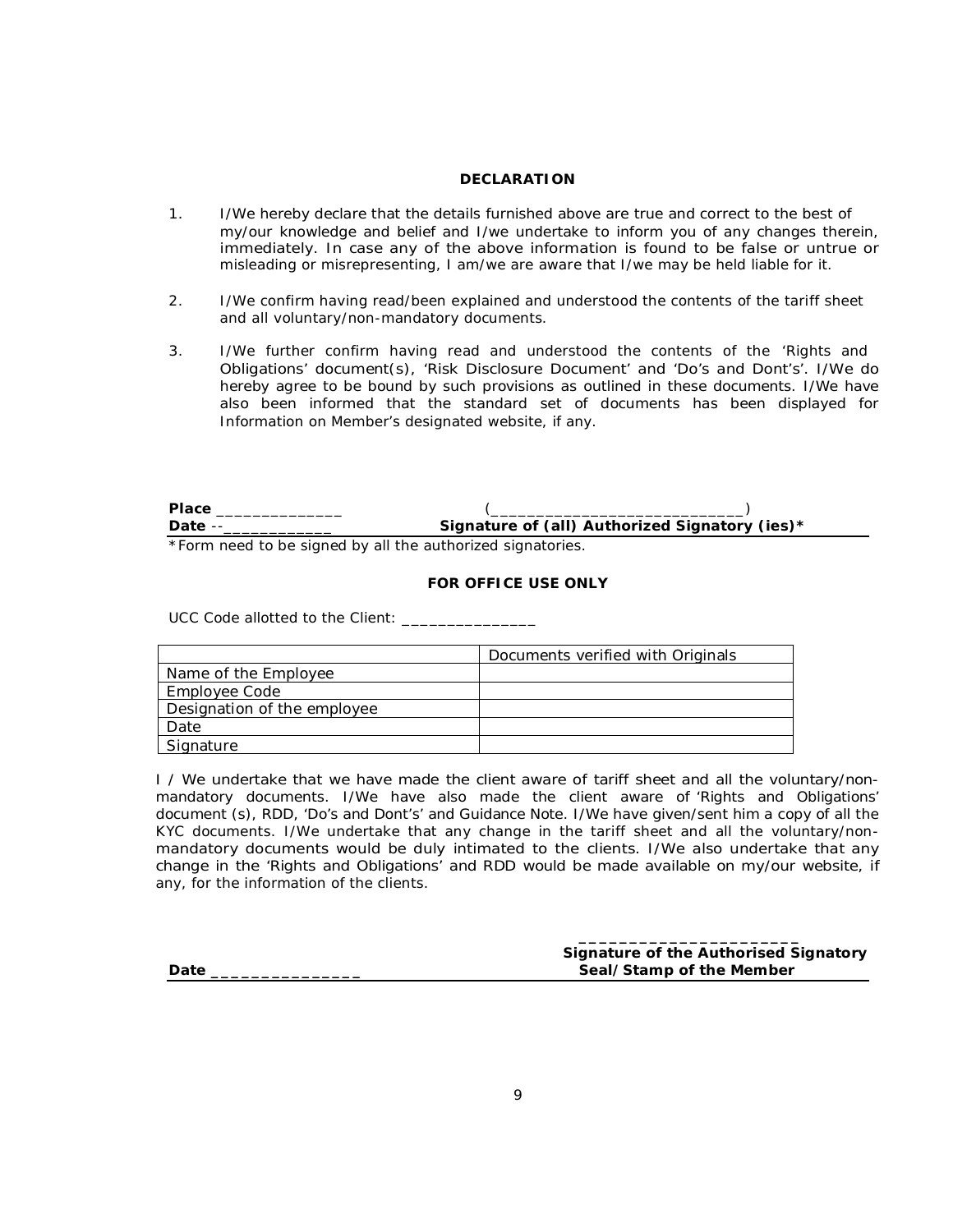#### **DECLARATION**

- 1. I/We hereby declare that the details furnished above are true and correct to the best of my/our knowledge and belief and I/we undertake to inform you of any changes therein, immediately. In case any of the above information is found to be false or untrue or misleading or misrepresenting, I am/we are aware that I/we may be held liable for it.
- 2. I/We confirm having read/been explained and understood the contents of the tariff sheet and all voluntary/non-mandatory documents.
- 3. I/We further confirm having read and understood the contents of the 'Rights and Obligations' document(s), 'Risk Disclosure Document' and 'Do's and Dont's'. I/We do hereby agree to be bound by such provisions as outlined in these documents. I/We have also been informed that the standard set of documents has been displayed for Information on Member's designated website, if any.

| <b>Place</b> |                                                            |  |
|--------------|------------------------------------------------------------|--|
| Date --      | Signature of (all) Authorized Signatory (ies)*             |  |
|              | *Form need to be signed by all the authorized signatories. |  |

#### **FOR OFFICE USE ONLY**

UCC Code allotted to the Client: \_\_\_\_\_\_\_\_\_\_\_\_\_\_\_

|                             | Documents verified with Originals |
|-----------------------------|-----------------------------------|
| Name of the Employee        |                                   |
| Employee Code               |                                   |
| Designation of the employee |                                   |
| Date                        |                                   |
| Signature                   |                                   |

*I / We undertake that we have made the client aware of tariff sheet and all the voluntary/nonmandatory documents. I/We have also made the client aware of 'Rights and Obligations' document (s), RDD, 'Do's and Dont's' and Guidance Note. I/We have given/sent him a copy of all the KYC documents. I/We undertake that any change in the tariff sheet and all the voluntary/nonmandatory documents would be duly intimated to the clients. I/We also undertake that any change in the 'Rights and Obligations' and RDD would be made available on my/our website, if any, for the information of the clients.* 

|      | Signature of the Authorised Signatory |
|------|---------------------------------------|
| Date | Seal/Stamp of the Member              |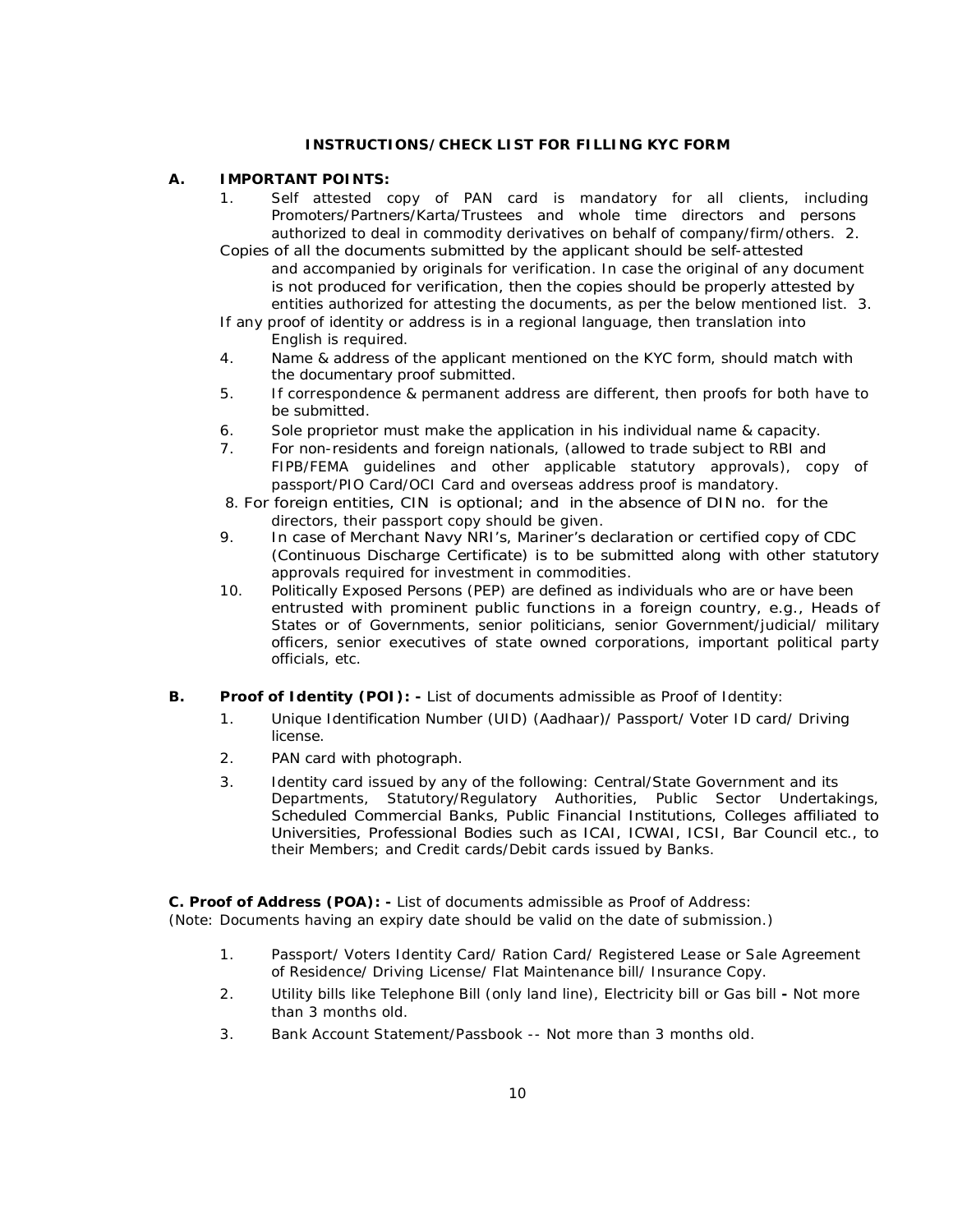### **INSTRUCTIONS/CHECK LIST FOR FILLING KYC FORM**

### **A. IMPORTANT POINTS:**

- 1. Self attested copy of PAN card is mandatory for all clients, including Promoters/Partners/Karta/Trustees and whole time directors and persons authorized to deal in commodity derivatives on behalf of company/firm/others. 2.
- Copies of all the documents submitted by the applicant should be self-attested and accompanied by originals for verification. In case the original of any document is not produced for verification, then the copies should be properly attested by entities authorized for attesting the documents, as per the below mentioned list. 3.

If any proof of identity or address is in a regional language, then translation into English is required.

- 4. Name & address of the applicant mentioned on the KYC form, should match with the documentary proof submitted.
- 5. If correspondence & permanent address are different, then proofs for both have to be submitted.
- 6. Sole proprietor must make the application in his individual name & capacity.
- 7. For non-residents and foreign nationals, (allowed to trade subject to RBI and FIPB/FEMA guidelines and other applicable statutory approvals), copy of passport/PIO Card/OCI Card and overseas address proof is mandatory.
- 8. For foreign entities, CIN is optional; and in the absence of DIN no. for the directors, their passport copy should be given.
- 9. In case of Merchant Navy NRI's, Mariner's declaration or certified copy of CDC (Continuous Discharge Certificate) is to be submitted along with other statutory approvals required for investment in commodities.
- 10. Politically Exposed Persons (PEP) are defined as individuals who are or have been entrusted with prominent public functions in a foreign country, e.g., Heads of States or of Governments, senior politicians, senior Government/judicial/ military officers, senior executives of state owned corporations, important political party officials, etc.

### *B.* **Proof of Identity (POI):** *- List of documents admissible as Proof of Identity:*

- 1. Unique Identification Number (UID) (Aadhaar)/ Passport/ Voter ID card/ Driving license.
- 2. PAN card with photograph.
- 3. Identity card issued by any of the following: Central/State Government and its Departments, Statutory/Regulatory Authorities, Public Sector Undertakings, Scheduled Commercial Banks, Public Financial Institutions, Colleges affiliated to Universities, Professional Bodies such as ICAI, ICWAI, ICSI, Bar Council etc., to their Members; and Credit cards/Debit cards issued by Banks.

*C.* **Proof of Address (POA):** *- List of documents admissible as Proof of Address: (Note: Documents having an expiry date should be valid on the date of submission.)* 

- 1. Passport/ Voters Identity Card/ Ration Card/ Registered Lease or Sale Agreement of Residence/ Driving License/ Flat Maintenance bill/ Insurance Copy.
- 2. Utility bills like Telephone Bill (only land line), Electricity bill or Gas bill **-** Not more than 3 months old.
- 3. Bank Account Statement/Passbook -- Not more than 3 months old.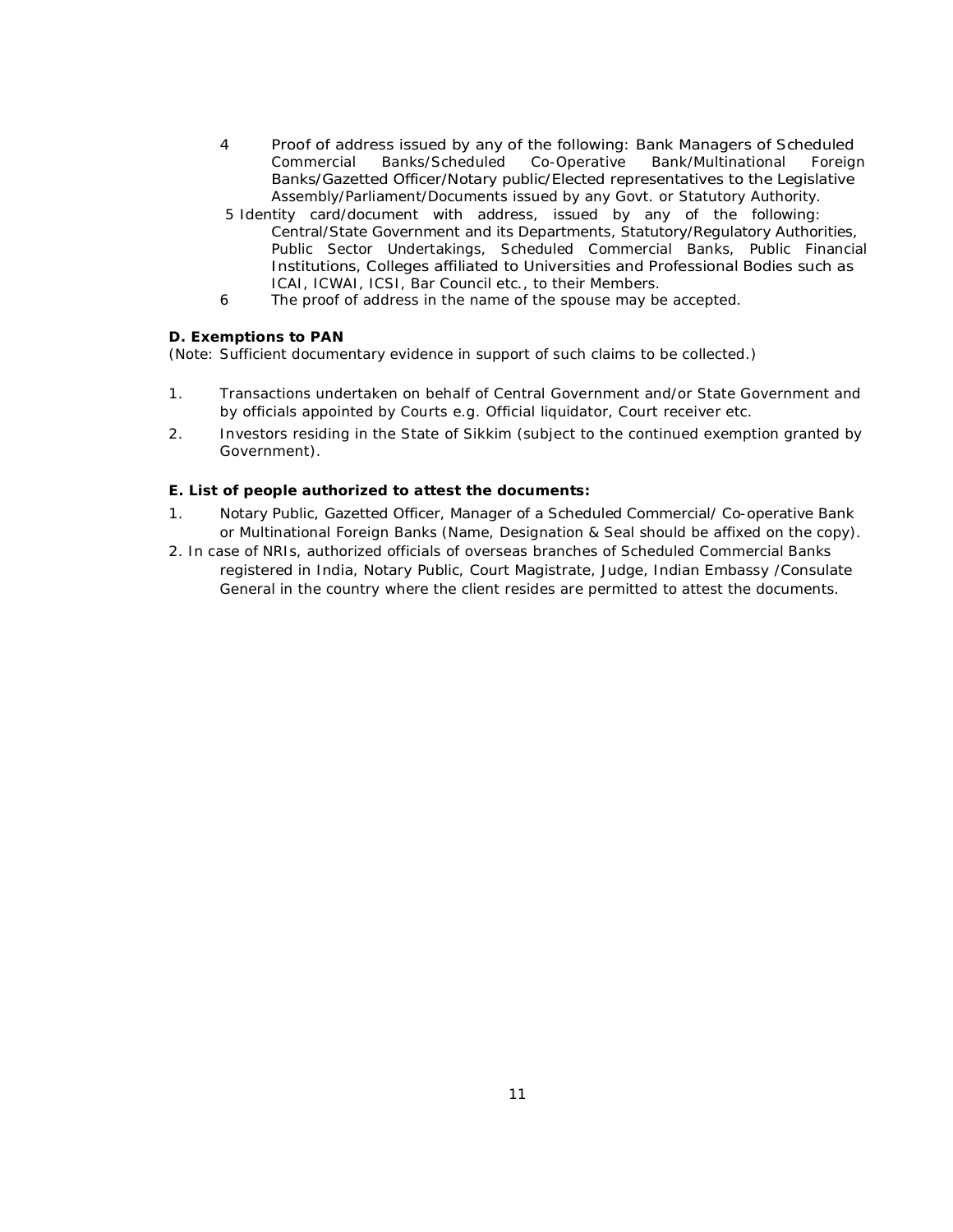- 4 Proof of address issued by any of the following: Bank Managers of Scheduled<br>Commercial Banks/Scheduled Co-Operative Bank/Multinational Foreign Banks/Scheduled Co-Operative Bank/Multinational Foreign Banks/Gazetted Officer/Notary public/Elected representatives to the Legislative Assembly/Parliament/Documents issued by any Govt. or Statutory Authority.
- 5 Identity card/document with address, issued by any of the following: Central/State Government and its Departments, Statutory/Regulatory Authorities, Public Sector Undertakings, Scheduled Commercial Banks, Public Financial Institutions, Colleges affiliated to Universities and Professional Bodies such as ICAI, ICWAI, ICSI, Bar Council etc., to their Members.
- 6 The proof of address in the name of the spouse may be accepted.

### **D. Exemptions to PAN**

*(Note: Sufficient documentary evidence in support of such claims to be collected.)*

- 1. Transactions undertaken on behalf of Central Government and/or State Government and by officials appointed by Courts e.g. Official liquidator, Court receiver etc.
- 2. Investors residing in the State of Sikkim (subject to the continued exemption granted by Government).

### **E. List of people authorized to attest the documents:**

- 1. Notary Public, Gazetted Officer, Manager of a Scheduled Commercial/ Co-operative Bank or Multinational Foreign Banks (Name, Designation & Seal should be affixed on the copy).
- 2. In case of NRIs, authorized officials of overseas branches of Scheduled Commercial Banks registered in India, Notary Public, Court Magistrate, Judge, Indian Embassy /Consulate General in the country where the client resides are permitted to attest the documents.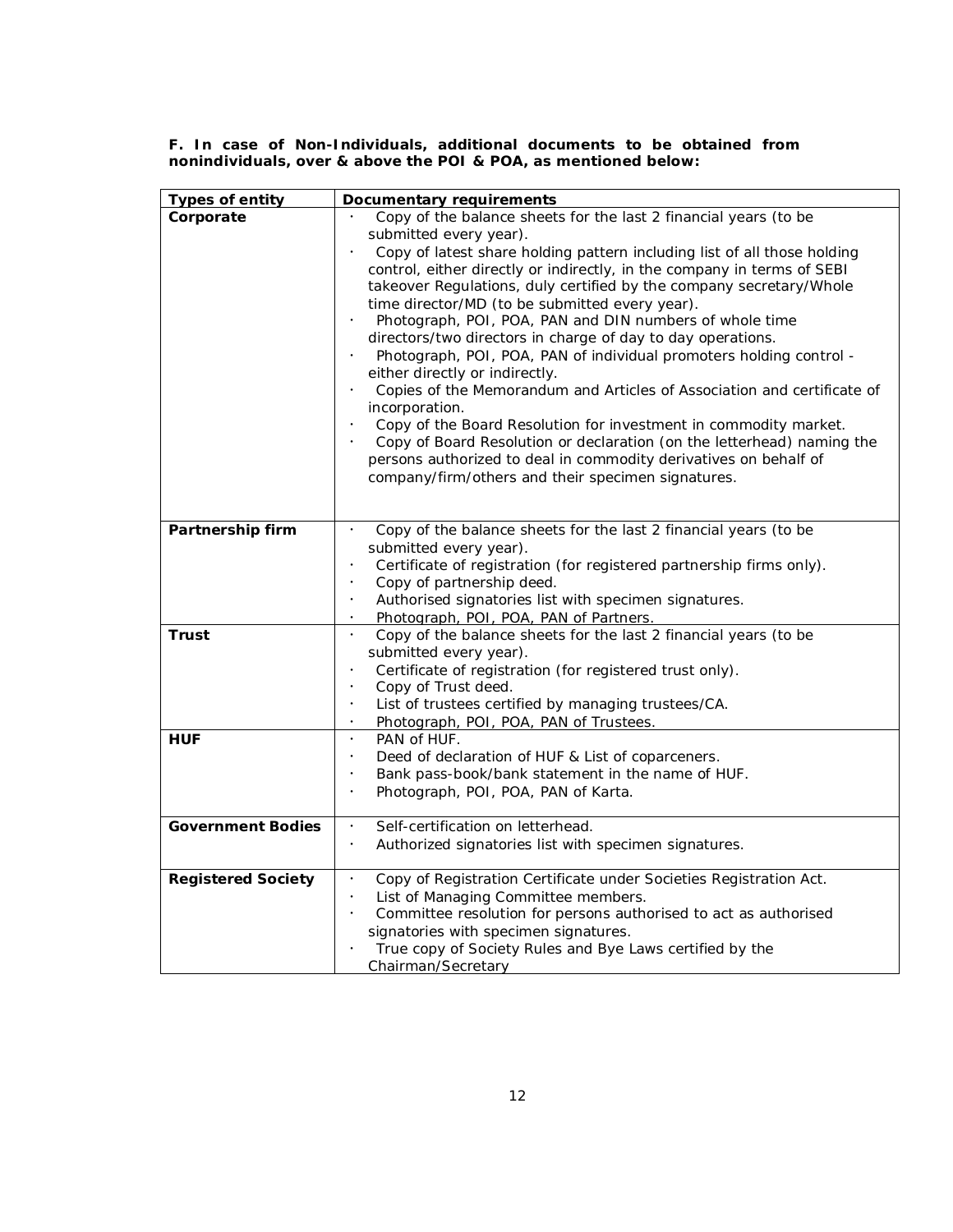**F. In case of Non-Individuals, additional documents to be obtained from nonindividuals, over & above the POI & POA, as mentioned below:** 

| <b>Types of entity</b>    | <b>Documentary requirements</b>                                                                           |
|---------------------------|-----------------------------------------------------------------------------------------------------------|
| Corporate                 | Copy of the balance sheets for the last 2 financial years (to be                                          |
|                           | submitted every year).                                                                                    |
|                           | Copy of latest share holding pattern including list of all those holding                                  |
|                           | control, either directly or indirectly, in the company in terms of SEBI                                   |
|                           | takeover Regulations, duly certified by the company secretary/Whole                                       |
|                           | time director/MD (to be submitted every year).                                                            |
|                           | Photograph, POI, POA, PAN and DIN numbers of whole time                                                   |
|                           | directors/two directors in charge of day to day operations.                                               |
|                           | Photograph, POI, POA, PAN of individual promoters holding control -                                       |
|                           | either directly or indirectly.<br>Copies of the Memorandum and Articles of Association and certificate of |
|                           | incorporation.                                                                                            |
|                           | Copy of the Board Resolution for investment in commodity market.                                          |
|                           | Copy of Board Resolution or declaration (on the letterhead) naming the                                    |
|                           | persons authorized to deal in commodity derivatives on behalf of                                          |
|                           | company/firm/others and their specimen signatures.                                                        |
|                           |                                                                                                           |
|                           |                                                                                                           |
| Partnership firm          | Copy of the balance sheets for the last 2 financial years (to be                                          |
|                           | submitted every year).                                                                                    |
|                           | Certificate of registration (for registered partnership firms only).                                      |
|                           | Copy of partnership deed.<br>$\bullet$                                                                    |
|                           | Authorised signatories list with specimen signatures.                                                     |
|                           | Photograph, POI, POA, PAN of Partners.<br>$\bullet$                                                       |
| Trust                     | Copy of the balance sheets for the last 2 financial years (to be<br>$\bullet$                             |
|                           | submitted every year).                                                                                    |
|                           | Certificate of registration (for registered trust only).<br>$\bullet$                                     |
|                           | Copy of Trust deed.<br>$\bullet$                                                                          |
|                           | List of trustees certified by managing trustees/CA.<br>$\bullet$                                          |
| <b>HUF</b>                | Photograph, POI, POA, PAN of Trustees.<br>PAN of HUF.<br>$\bullet$                                        |
|                           | Deed of declaration of HUF & List of coparceners.<br>$\bullet$                                            |
|                           | Bank pass-book/bank statement in the name of HUF.<br>$\bullet$                                            |
|                           | Photograph, POI, POA, PAN of Karta.<br>$\bullet$                                                          |
|                           |                                                                                                           |
| <b>Government Bodies</b>  | Self-certification on letterhead.<br>$\bullet$                                                            |
|                           | Authorized signatories list with specimen signatures.                                                     |
|                           |                                                                                                           |
| <b>Registered Society</b> | Copy of Registration Certificate under Societies Registration Act.<br>$\bullet$                           |
|                           | List of Managing Committee members.<br>$\bullet$                                                          |
|                           | Committee resolution for persons authorised to act as authorised                                          |
|                           | signatories with specimen signatures.                                                                     |
|                           | True copy of Society Rules and Bye Laws certified by the                                                  |
|                           | Chairman/Secretary                                                                                        |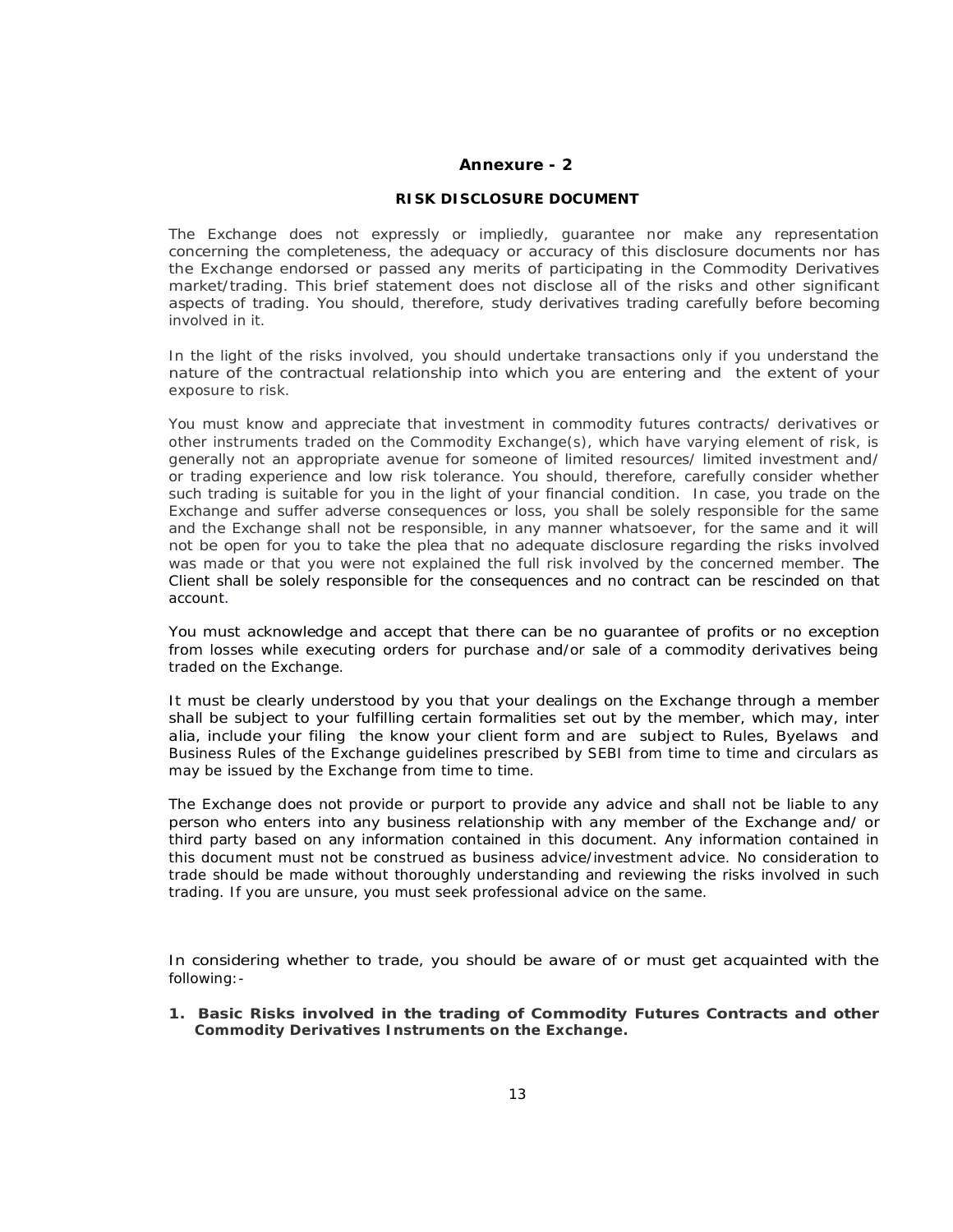#### **Annexure - 2**

#### **RISK DISCLOSURE DOCUMENT**

The Exchange does not expressly or impliedly, guarantee nor make any representation concerning the completeness, the adequacy or accuracy of this disclosure documents nor has the Exchange endorsed or passed any merits of participating in the Commodity Derivatives market/trading. This brief statement does not disclose all of the risks and other significant aspects of trading. You should, therefore, study derivatives trading carefully before becoming involved in it.

In the light of the risks involved, you should undertake transactions only if you understand the nature of the contractual relationship into which you are entering and the extent of your exposure to risk.

You must know and appreciate that investment in commodity futures contracts/ derivatives or other instruments traded on the Commodity Exchange(s), which have varying element of risk, is generally not an appropriate avenue for someone of limited resources/ limited investment and/ or trading experience and low risk tolerance. You should, therefore, carefully consider whether such trading is suitable for you in the light of your financial condition. In case, you trade on the Exchange and suffer adverse consequences or loss, you shall be solely responsible for the same and the Exchange shall not be responsible, in any manner whatsoever, for the same and it will not be open for you to take the plea that no adequate disclosure regarding the risks involved was made or that you were not explained the full risk involved by the concerned member. The Client shall be solely responsible for the consequences and no contract can be rescinded on that account.

You must acknowledge and accept that there can be no guarantee of profits or no exception from losses while executing orders for purchase and/or sale of a commodity derivatives being traded on the Exchange.

It must be clearly understood by you that your dealings on the Exchange through a member shall be subject to your fulfilling certain formalities set out by the member, which may, *inter alia,* include your filing the know your client form and are subject to Rules, Byelaws and Business Rules of the Exchange guidelines prescribed by SEBI from time to time and circulars as may be issued by the Exchange from time to time.

The Exchange does not provide or purport to provide any advice and shall not be liable to any person who enters into any business relationship with any member of the Exchange and/ or third party based on any information contained in this document. Any information contained in this document must not be construed as business advice/investment advice. No consideration to trade should be made without thoroughly understanding and reviewing the risks involved in such trading. If you are unsure, you must seek professional advice on the same.

In considering whether to trade, you should be aware of or must get acquainted with the following:-

**1. Basic Risks involved in the trading of Commodity Futures Contracts and other Commodity Derivatives Instruments on the Exchange.**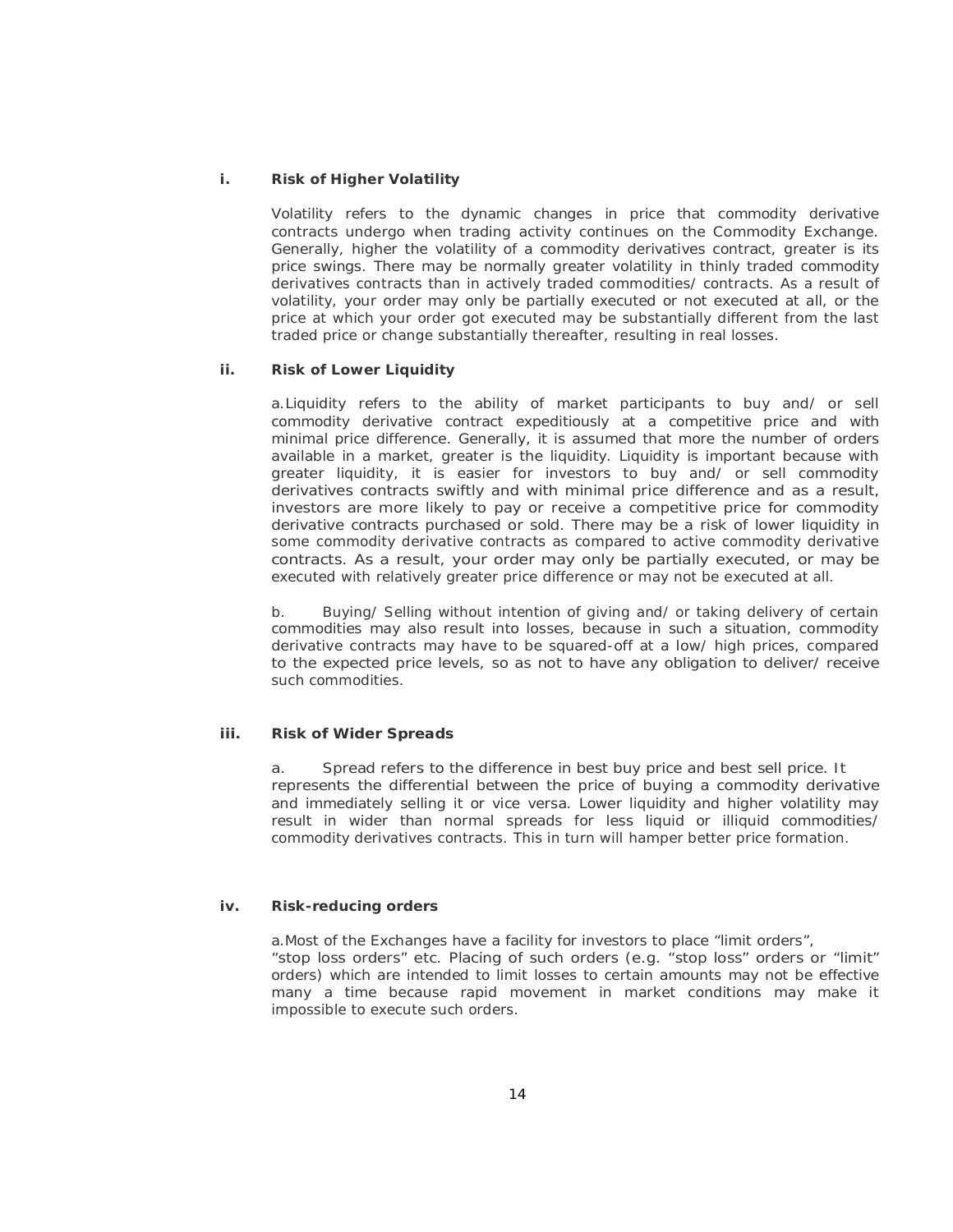### **i. Risk of Higher Volatility**

Volatility refers to the dynamic changes in price that commodity derivative contracts undergo when trading activity continues on the Commodity Exchange. Generally, higher the volatility of a commodity derivatives contract, greater is its price swings. There may be normally greater volatility in thinly traded commodity derivatives contracts than in actively traded commodities/ contracts. As a result of volatility, your order may only be partially executed or not executed at all, or the price at which your order got executed may be substantially different from the last traded price or change substantially thereafter, resulting in real losses.

#### **ii. Risk of Lower Liquidity**

a.Liquidity refers to the ability of market participants to buy and/ or sell commodity derivative contract expeditiously at a competitive price and with minimal price difference. Generally, it is assumed that more the number of orders available in a market, greater is the liquidity. Liquidity is important because with greater liquidity, it is easier for investors to buy and/ or sell commodity derivatives contracts swiftly and with minimal price difference and as a result, investors are more likely to pay or receive a competitive price for commodity derivative contracts purchased or sold. There may be a risk of lower liquidity in some commodity derivative contracts as compared to active commodity derivative contracts. As a result, your order may only be partially executed, or may be executed with relatively greater price difference or may not be executed at all.

b. Buying/ Selling without intention of giving and/ or taking delivery of certain commodities may also result into losses, because in such a situation, commodity derivative contracts may have to be squared-off at a low/ high prices, compared to the expected price levels, so as not to have any obligation to deliver/ receive such commodities.

### **iii. Risk of Wider Spreads**

a. Spread refers to the difference in best buy price and best sell price. It represents the differential between the price of buying a commodity derivative and immediately selling it or *vice versa*. Lower liquidity and higher volatility may result in wider than normal spreads for less liquid or illiquid commodities/ commodity derivatives contracts. This in turn will hamper better price formation.

#### **iv. Risk-reducing orders**

a.Most of the Exchanges have a facility for investors to place "limit orders", "stop loss orders" etc. Placing of such orders (e.g. "stop loss" orders or "limit" orders) which are intended to limit losses to certain amounts may not be effective many a time because rapid movement in market conditions may make it impossible to execute such orders.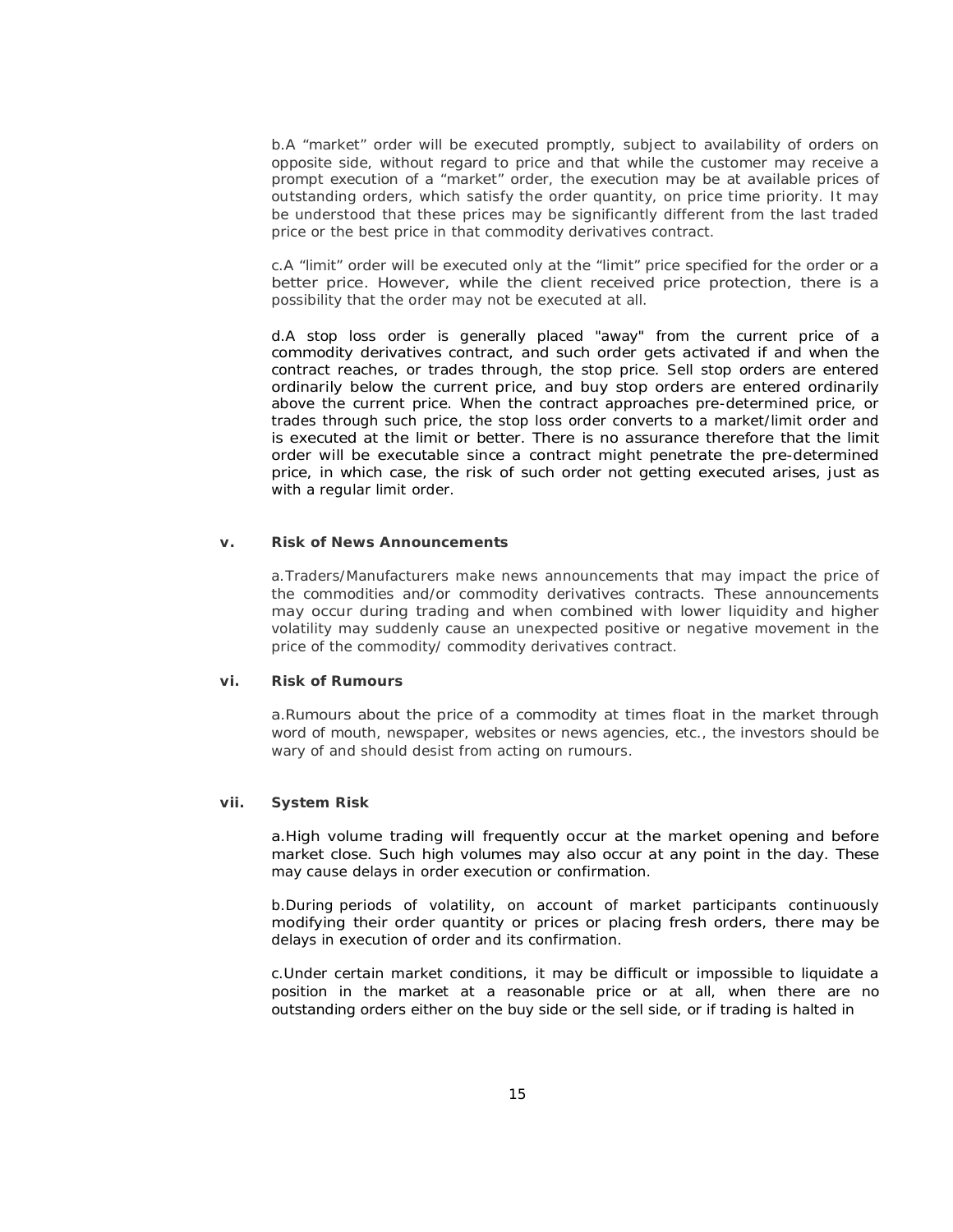b.A "market" order will be executed promptly, subject to availability of orders on opposite side, without regard to price and that while the customer may receive a prompt execution of a "market" order, the execution may be at available prices of outstanding orders, which satisfy the order quantity, on price time priority. It may be understood that these prices may be significantly different from the last traded price or the best price in that commodity derivatives contract.

c.A "limit" order will be executed only at the "limit" price specified for the order or a better price. However, while the client received price protection, there is a possibility that the order may not be executed at all.

d.A stop loss order is generally placed "away" from the current price of a commodity derivatives contract, and such order gets activated if and when the contract reaches, or trades through, the stop price. Sell stop orders are entered ordinarily below the current price, and buy stop orders are entered ordinarily above the current price. When the contract approaches pre-determined price, or trades through such price, the stop loss order converts to a market/limit order and is executed at the limit or better. There is no assurance therefore that the limit order will be executable since a contract might penetrate the pre-determined price, in which case, the risk of such order not getting executed arises, just as with a regular limit order.

#### **v. Risk of News Announcements**

a.Traders/Manufacturers make news announcements that may impact the price of the commodities and/or commodity derivatives contracts. These announcements may occur during trading and when combined with lower liquidity and higher volatility may suddenly cause an unexpected positive or negative movement in the price of the commodity/ commodity derivatives contract.

#### **vi. Risk of Rumours**

a.Rumours about the price of a commodity at times float in the market through word of mouth, newspaper, websites or news agencies, etc., the investors should be wary of and should desist from acting on rumours.

#### **vii. System Risk**

a.High volume trading will frequently occur at the market opening and before market close. Such high volumes may also occur at any point in the day. These may cause delays in order execution or confirmation.

b.During periods of volatility, on account of market participants continuously modifying their order quantity or prices or placing fresh orders, there may be delays in execution of order and its confirmation.

c.Under certain market conditions, it may be difficult or impossible to liquidate a position in the market at a reasonable price or at all, when there are no outstanding orders either on the buy side or the sell side, or if trading is halted in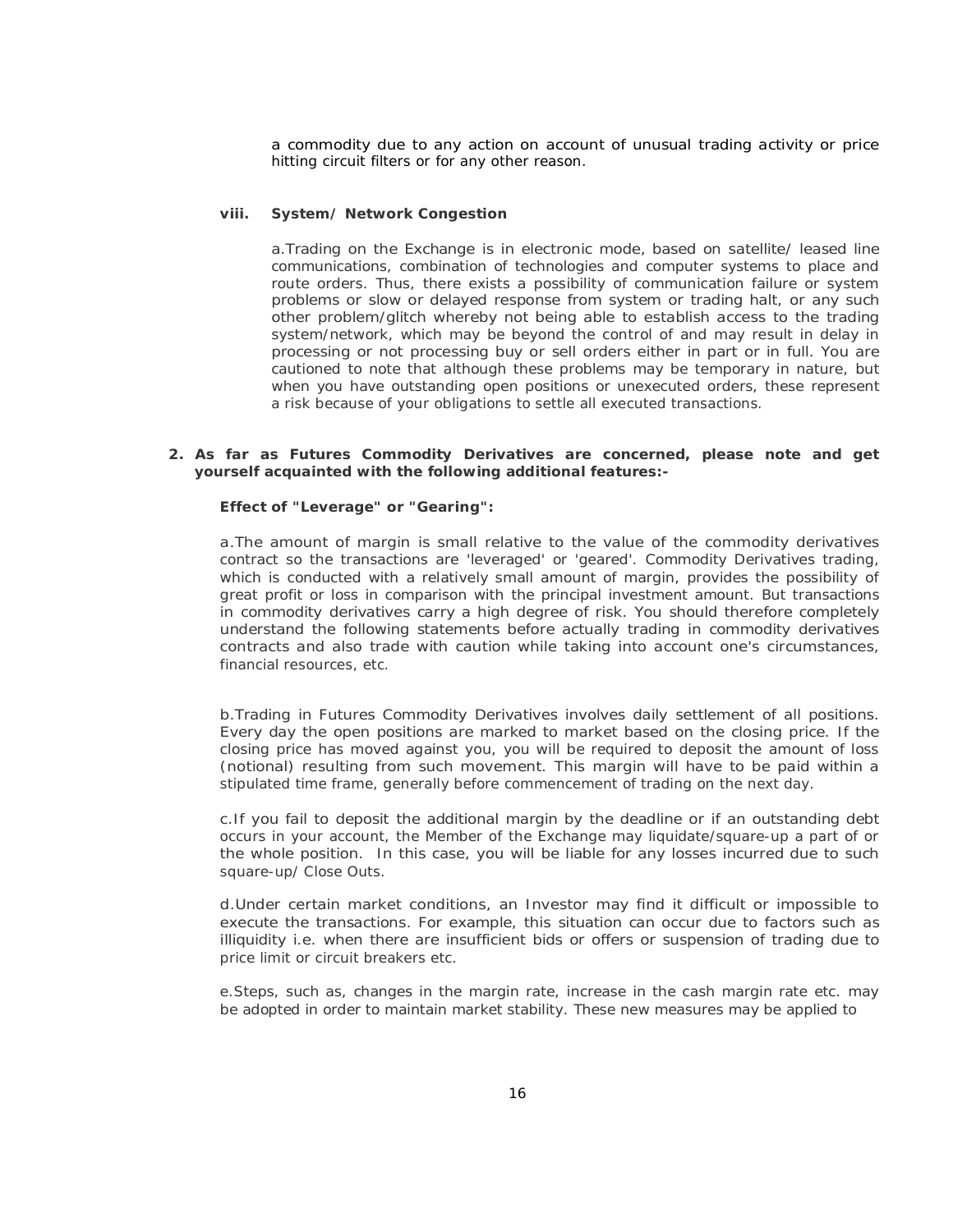a commodity due to any action on account of unusual trading activity or price hitting circuit filters or for any other reason.

#### **viii. System/ Network Congestion**

a.Trading on the Exchange is in electronic mode, based on satellite/ leased line communications, combination of technologies and computer systems to place and route orders. Thus, there exists a possibility of communication failure or system problems or slow or delayed response from system or trading halt, or any such other problem/glitch whereby not being able to establish access to the trading system/network, which may be beyond the control of and may result in delay in processing or not processing buy or sell orders either in part or in full. You are cautioned to note that although these problems may be temporary in nature, but when you have outstanding open positions or unexecuted orders, these represent a risk because of your obligations to settle all executed transactions.

#### **2. As far as Futures Commodity Derivatives are concerned, please note and get yourself acquainted with the following additional features:-**

#### **Effect of "Leverage" or "Gearing":**

a.The amount of margin is small relative to the value of the commodity derivatives contract so the transactions are 'leveraged' or 'geared'. Commodity Derivatives trading, which is conducted with a relatively small amount of margin, provides the possibility of great profit or loss in comparison with the principal investment amount. But transactions in commodity derivatives carry a high degree of risk. You should therefore completely understand the following statements before actually trading in commodity derivatives contracts and also trade with caution while taking into account one's circumstances, financial resources, etc.

b.Trading in Futures Commodity Derivatives involves daily settlement of all positions. Every day the open positions are marked to market based on the closing price. If the closing price has moved against you, you will be required to deposit the amount of loss (notional) resulting from such movement. This margin will have to be paid within a stipulated time frame, generally before commencement of trading on the next day.

c.If you fail to deposit the additional margin by the deadline or if an outstanding debt occurs in your account, the Member of the Exchange may liquidate/square-up a part of or the whole position. In this case, you will be liable for any losses incurred due to such square-up/ Close Outs.

d.Under certain market conditions, an Investor may find it difficult or impossible to execute the transactions. For example, this situation can occur due to factors such as illiquidity i.e. when there are insufficient bids or offers or suspension of trading due to price limit or circuit breakers etc.

e.Steps, such as, changes in the margin rate, increase in the cash margin rate etc. may be adopted in order to maintain market stability. These new measures may be applied to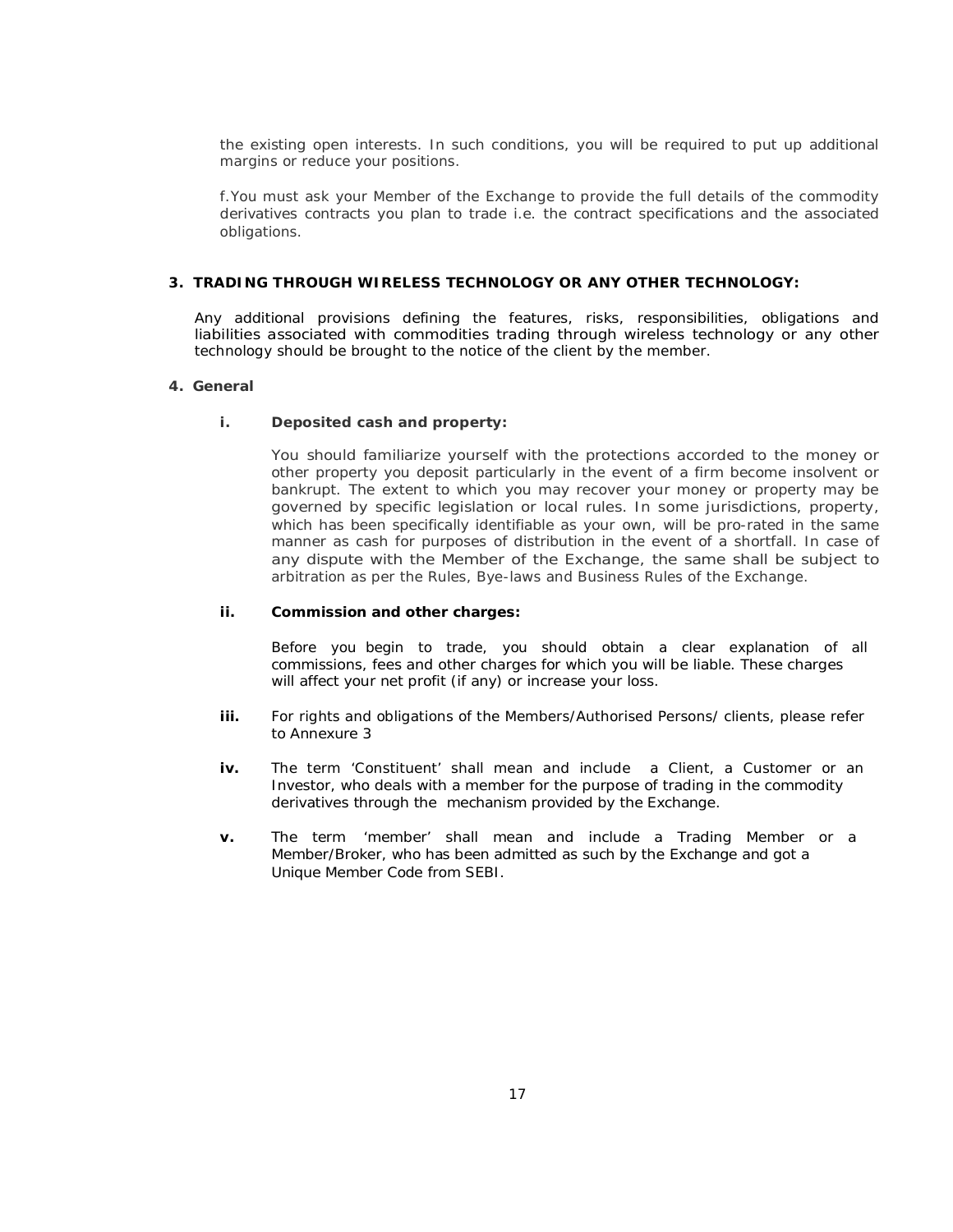the existing open interests. In such conditions, you will be required to put up additional margins or reduce your positions.

f.You must ask your Member of the Exchange to provide the full details of the commodity derivatives contracts you plan to trade i.e. the contract specifications and the associated obligations.

#### **3. TRADING THROUGH WIRELESS TECHNOLOGY OR ANY OTHER TECHNOLOGY:**

Any additional provisions defining the features, risks, responsibilities, obligations and liabilities associated with commodities trading through wireless technology or any other technology should be brought to the notice of the client by the member.

#### **4. General**

#### **i. Deposited cash and property:**

You should familiarize yourself with the protections accorded to the money or other property you deposit particularly in the event of a firm become insolvent or bankrupt. The extent to which you may recover your money or property may be governed by specific legislation or local rules. In some jurisdictions, property, which has been specifically identifiable as your own, will be pro-rated in the same manner as cash for purposes of distribution in the event of a shortfall. In case of any dispute with the Member of the Exchange, the same shall be subject to arbitration as per the Rules, Bye-laws and Business Rules of the Exchange.

#### **ii. Commission and other charges:**

Before you begin to trade, you should obtain a clear explanation of all commissions, fees and other charges for which you will be liable. These charges will affect your net profit (if any) or increase your loss.

- **iii.** For rights and obligations of the Members/Authorised Persons/ clients, please refer to *Annexure 3*
- **iv.** The term 'Constituent' shall mean and include a Client, a Customer or an Investor, who deals with a member for the purpose of trading in the commodity derivatives through the mechanism provided by the Exchange.
- **v.** The term 'member' shall mean and include a Trading Member or a Member/Broker, who has been admitted as such by the Exchange and got a Unique Member Code from SEBI.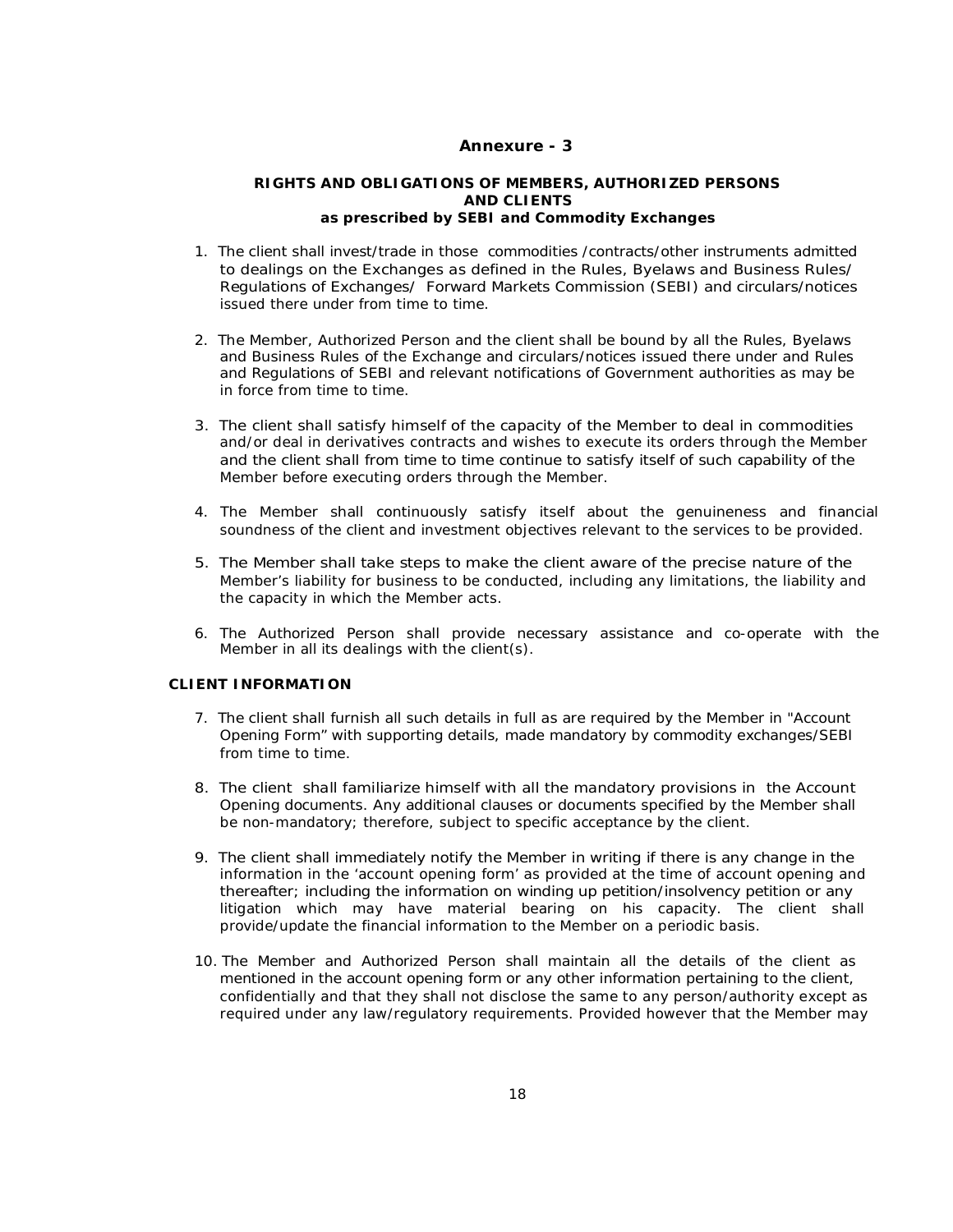### **Annexure - 3**

#### **RIGHTS AND OBLIGATIONS OF MEMBERS, AUTHORIZED PERSONS AND CLIENTS**  *as prescribed by SEBI and Commodity Exchanges*

- 1. The client shall invest/trade in those commodities /contracts/other instruments admitted to dealings on the Exchanges as defined in the Rules, Byelaws and Business Rules/ Regulations of Exchanges/ Forward Markets Commission (SEBI) and circulars/notices issued there under from time to time.
- 2. The Member, Authorized Person and the client shall be bound by all the Rules, Byelaws and Business Rules of the Exchange and circulars/notices issued there under and Rules and Regulations of SEBI and relevant notifications of Government authorities as may be in force from time to time.
- 3. The client shall satisfy himself of the capacity of the Member to deal in commodities and/or deal in derivatives contracts and wishes to execute its orders through the Member and the client shall from time to time continue to satisfy itself of such capability of the Member before executing orders through the Member.
- 4. The Member shall continuously satisfy itself about the genuineness and financial soundness of the client and investment objectives relevant to the services to be provided.
- 5. The Member shall take steps to make the client aware of the precise nature of the Member's liability for business to be conducted, including any limitations, the liability and the capacity in which the Member acts.
- 6. The Authorized Person shall provide necessary assistance and co-operate with the Member in all its dealings with the client(s).

### **CLIENT INFORMATION**

- 7. The client shall furnish all such details in full as are required by the Member in "Account Opening Form" with supporting details, made mandatory by commodity exchanges/SEBI from time to time.
- 8. The client shall familiarize himself with all the mandatory provisions in the Account Opening documents. Any additional clauses or documents specified by the Member shall be non-mandatory; therefore, subject to specific acceptance by the client.
- 9. The client shall immediately notify the Member in writing if there is any change in the information in the 'account opening form' as provided at the time of account opening and thereafter; including the information on winding up petition/insolvency petition or any litigation which may have material bearing on his capacity. The client shall provide/update the financial information to the Member on a periodic basis.
- 10. The Member and Authorized Person shall maintain all the details of the client as mentioned in the account opening form or any other information pertaining to the client, confidentially and that they shall not disclose the same to any person/authority except as required under any law/regulatory requirements. Provided however that the Member may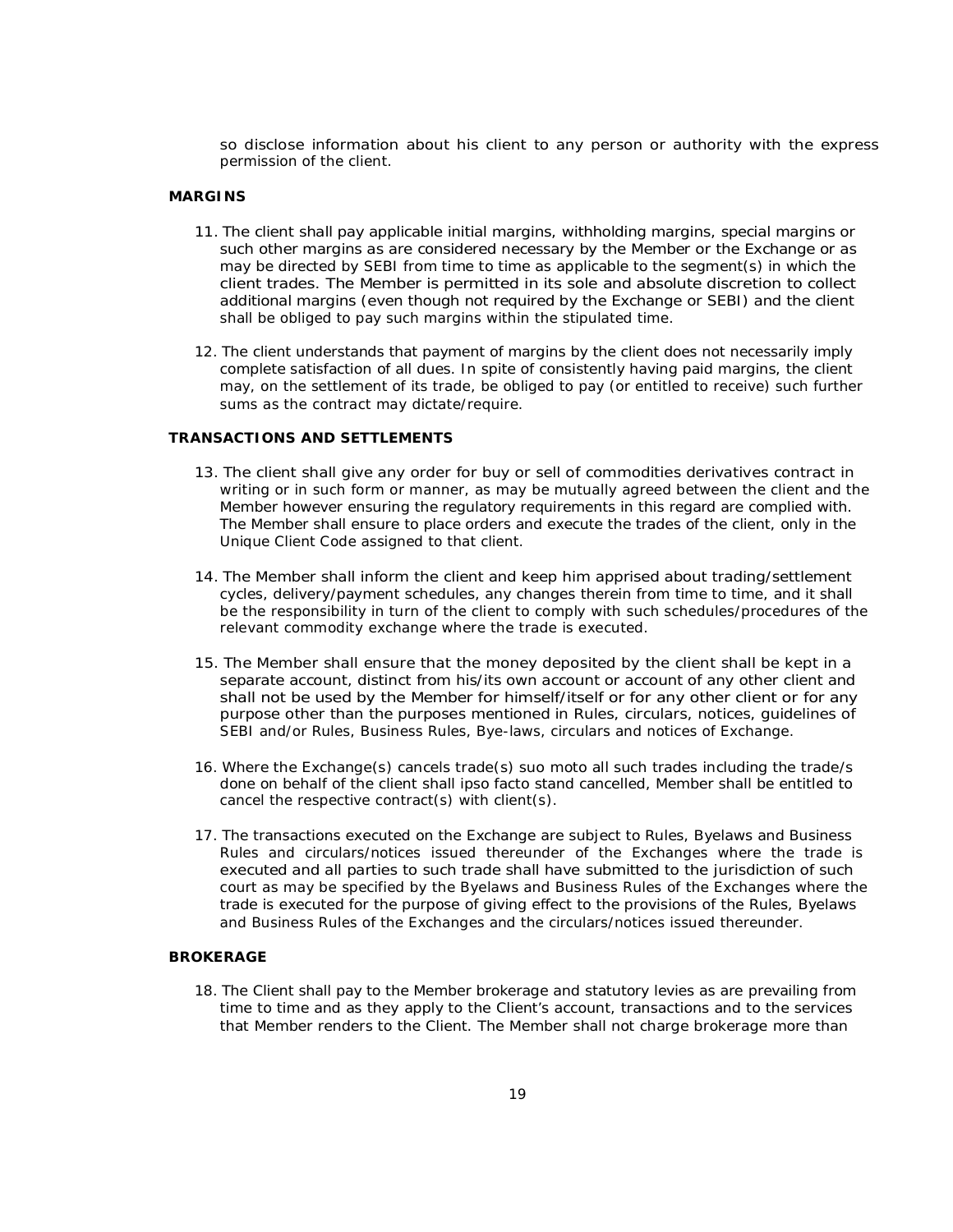so disclose information about his client to any person or authority with the express permission of the client.

### **MARGINS**

- 11. The client shall pay applicable initial margins, withholding margins, special margins or such other margins as are considered necessary by the Member or the Exchange or as may be directed by SEBI from time to time as applicable to the segment(s) in which the client trades. The Member is permitted in its sole and absolute discretion to collect additional margins (even though not required by the Exchange or SEBI) and the client shall be obliged to pay such margins within the stipulated time.
- 12. The client understands that payment of margins by the client does not necessarily imply complete satisfaction of all dues. In spite of consistently having paid margins, the client may, on the settlement of its trade, be obliged to pay (or entitled to receive) such further sums as the contract may dictate/require.

### **TRANSACTIONS AND SETTLEMENTS**

- 13. The client shall give any order for buy or sell of commodities derivatives contract in writing or in such form or manner, as may be mutually agreed between the client and the Member however ensuring the regulatory requirements in this regard are complied with. The Member shall ensure to place orders and execute the trades of the client, only in the Unique Client Code assigned to that client.
- 14. The Member shall inform the client and keep him apprised about trading/settlement cycles, delivery/payment schedules, any changes therein from time to time, and it shall be the responsibility in turn of the client to comply with such schedules/procedures of the relevant commodity exchange where the trade is executed.
- 15. The Member shall ensure that the money deposited by the client shall be kept in a separate account, distinct from his/its own account or account of any other client and shall not be used by the Member for himself/itself or for any other client or for any purpose other than the purposes mentioned in Rules, circulars, notices, guidelines of SEBI and/or Rules, Business Rules, Bye-laws, circulars and notices of Exchange.
- 16. Where the Exchange(s) cancels trade(s) suo moto all such trades including the trade/s done on behalf of the client shall ipso facto stand cancelled, Member shall be entitled to cancel the respective contract(s) with client(s).
- 17. The transactions executed on the Exchange are subject to Rules, Byelaws and Business Rules and circulars/notices issued thereunder of the Exchanges where the trade is executed and all parties to such trade shall have submitted to the jurisdiction of such court as may be specified by the Byelaws and Business Rules of the Exchanges where the trade is executed for the purpose of giving effect to the provisions of the Rules, Byelaws and Business Rules of the Exchanges and the circulars/notices issued thereunder.

#### **BROKERAGE**

18. The Client shall pay to the Member brokerage and statutory levies as are prevailing from time to time and as they apply to the Client's account, transactions and to the services that Member renders to the Client. The Member shall not charge brokerage more than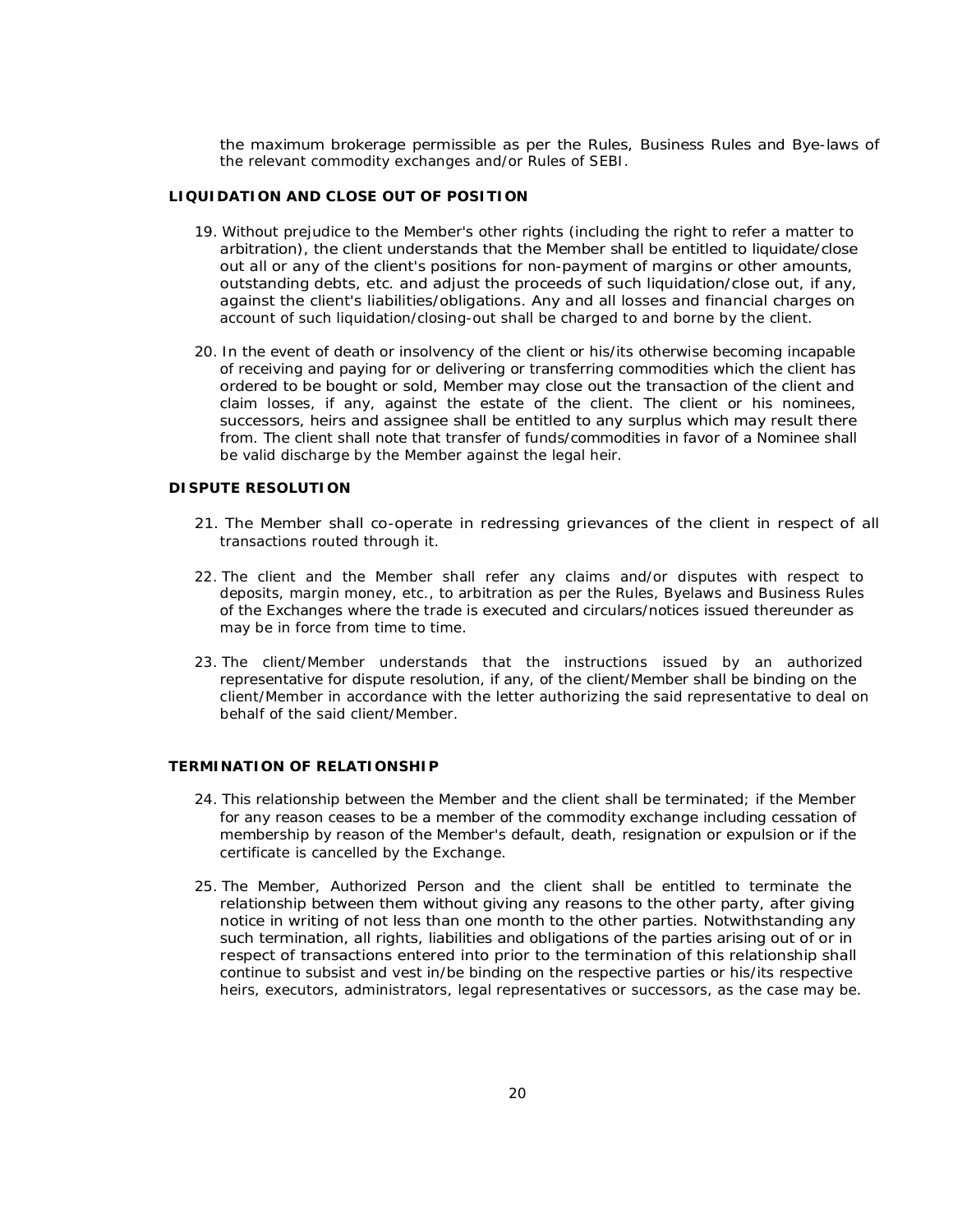the maximum brokerage permissible as per the Rules, Business Rules and Bye-laws of the relevant commodity exchanges and/or Rules of SEBI.

#### **LIQUIDATION AND CLOSE OUT OF POSITION**

- 19. Without prejudice to the Member's other rights (including the right to refer a matter to arbitration), the client understands that the Member shall be entitled to liquidate/close out all or any of the client's positions for non-payment of margins or other amounts, outstanding debts, etc. and adjust the proceeds of such liquidation/close out, if any, against the client's liabilities/obligations. Any and all losses and financial charges on account of such liquidation/closing-out shall be charged to and borne by the client.
- 20. In the event of death or insolvency of the client or his/its otherwise becoming incapable of receiving and paying for or delivering or transferring commodities which the client has ordered to be bought or sold, Member may close out the transaction of the client and claim losses, if any, against the estate of the client. The client or his nominees, successors, heirs and assignee shall be entitled to any surplus which may result there from. The client shall note that transfer of funds/commodities in favor of a Nominee shall be valid discharge by the Member against the legal heir.

### **DISPUTE RESOLUTION**

- 21. The Member shall co-operate in redressing grievances of the client in respect of all transactions routed through it.
- 22. The client and the Member shall refer any claims and/or disputes with respect to deposits, margin money, etc., to arbitration as per the Rules, Byelaws and Business Rules of the Exchanges where the trade is executed and circulars/notices issued thereunder as may be in force from time to time.
- 23. The client/Member understands that the instructions issued by an authorized representative for dispute resolution, if any, of the client/Member shall be binding on the client/Member in accordance with the letter authorizing the said representative to deal on behalf of the said client/Member.

### **TERMINATION OF RELATIONSHIP**

- 24. This relationship between the Member and the client shall be terminated; if the Member for any reason ceases to be a member of the commodity exchange including cessation of membership by reason of the Member's default, death, resignation or expulsion or if the certificate is cancelled by the Exchange.
- 25. The Member, Authorized Person and the client shall be entitled to terminate the relationship between them without giving any reasons to the other party, after giving notice in writing of not less than one month to the other parties. Notwithstanding any such termination, all rights, liabilities and obligations of the parties arising out of or in respect of transactions entered into prior to the termination of this relationship shall continue to subsist and vest in/be binding on the respective parties or his/its respective heirs, executors, administrators, legal representatives or successors, as the case may be.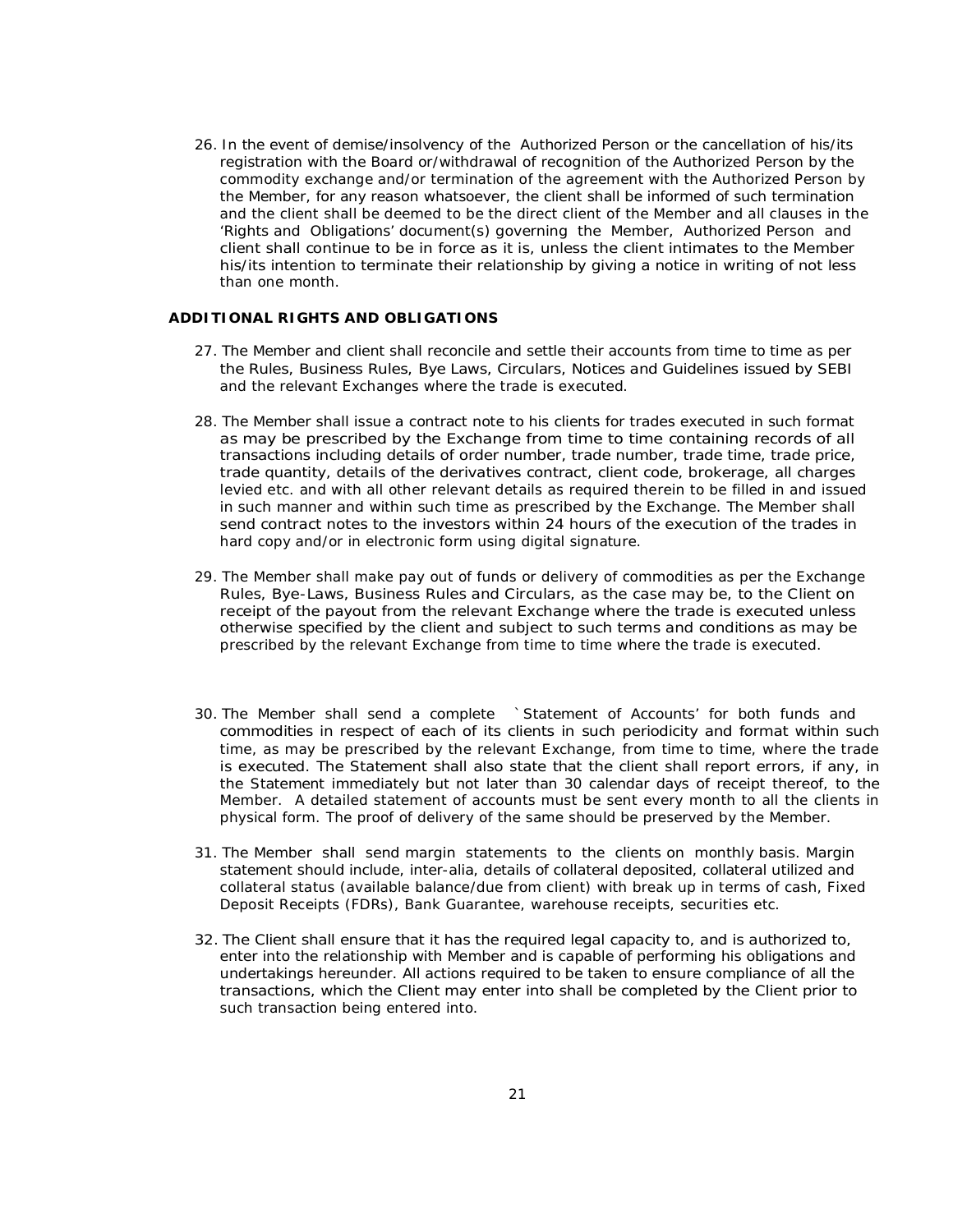26. In the event of demise/insolvency of the Authorized Person or the cancellation of his/its registration with the Board or/withdrawal of recognition of the Authorized Person by the commodity exchange and/or termination of the agreement with the Authorized Person by the Member, for any reason whatsoever, the client shall be informed of such termination and the client shall be deemed to be the direct client of the Member and all clauses in the 'Rights and Obligations' document(s) governing the Member, Authorized Person and client shall continue to be in force as it is, unless the client intimates to the Member his/its intention to terminate their relationship by giving a notice in writing of not less than one month.

### **ADDITIONAL RIGHTS AND OBLIGATIONS**

- 27. The Member and client shall reconcile and settle their accounts from time to time as per the Rules, Business Rules, Bye Laws, Circulars, Notices and Guidelines issued by SEBI and the relevant Exchanges where the trade is executed.
- 28. The Member shall issue a contract note to his clients for trades executed in such format as may be prescribed by the Exchange from time to time containing records of all transactions including details of order number, trade number, trade time, trade price, trade quantity, details of the derivatives contract, client code, brokerage, all charges levied etc. and with all other relevant details as required therein to be filled in and issued in such manner and within such time as prescribed by the Exchange. The Member shall send contract notes to the investors within 24 hours of the execution of the trades in hard copy and/or in electronic form using digital signature.
- 29. The Member shall make pay out of funds or delivery of commodities as per the Exchange Rules, Bye-Laws, Business Rules and Circulars, as the case may be, to the Client on receipt of the payout from the relevant Exchange where the trade is executed unless otherwise specified by the client and subject to such terms and conditions as may be prescribed by the relevant Exchange from time to time where the trade is executed.
- 30. The Member shall send a complete `Statement of Accounts' for both funds and commodities in respect of each of its clients in such periodicity and format within such time, as may be prescribed by the relevant Exchange, from time to time, where the trade is executed. The Statement shall also state that the client shall report errors, if any, in the Statement immediately but not later than 30 calendar days of receipt thereof, to the Member. A detailed statement of accounts must be sent every month to all the clients in physical form. The proof of delivery of the same should be preserved by the Member.
- 31. The Member shall send margin statements to the clients on monthly basis. Margin statement should include, inter-alia, details of collateral deposited, collateral utilized and collateral status (available balance/due from client) with break up in terms of cash, Fixed Deposit Receipts (FDRs), Bank Guarantee, warehouse receipts, securities etc.
- 32. The Client shall ensure that it has the required legal capacity to, and is authorized to, enter into the relationship with Member and is capable of performing his obligations and undertakings hereunder. All actions required to be taken to ensure compliance of all the transactions, which the Client may enter into shall be completed by the Client prior to such transaction being entered into.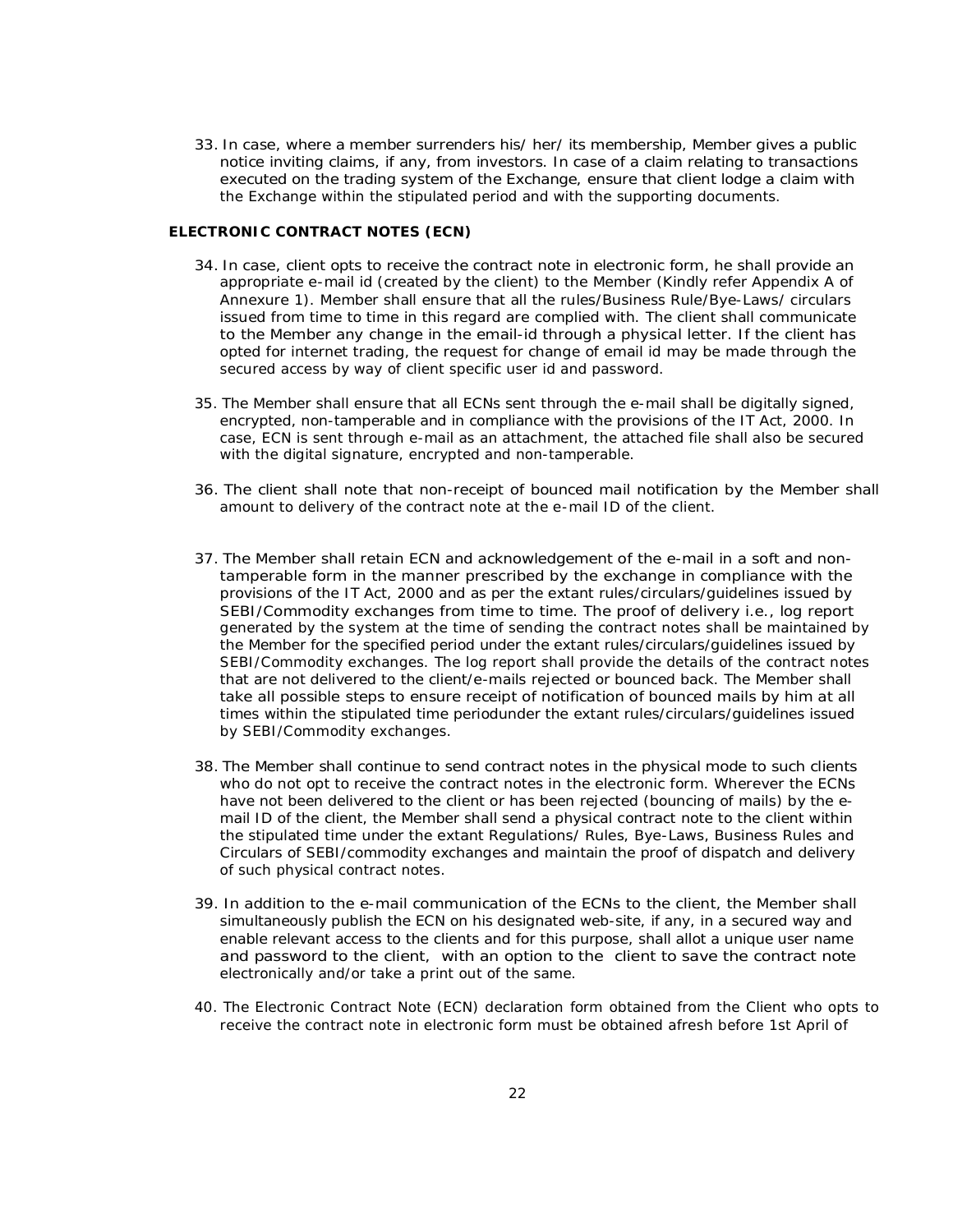33. In case, where a member surrenders his/ her/ its membership, Member gives a public notice inviting claims, if any, from investors. In case of a claim relating to transactions executed on the trading system of the Exchange, ensure that client lodge a claim with the Exchange within the stipulated period and with the supporting documents.

### **ELECTRONIC CONTRACT NOTES (ECN)**

- 34. In case, client opts to receive the contract note in electronic form, he shall provide an appropriate e-mail id (created by the client) to the Member (Kindly refer Appendix A of Annexure 1). Member shall ensure that all the rules/Business Rule/Bye-Laws/ circulars issued from time to time in this regard are complied with. The client shall communicate to the Member any change in the email-id through a physical letter. If the client has opted for internet trading, the request for change of email id may be made through the secured access by way of client specific user id and password.
- 35. The Member shall ensure that all ECNs sent through the e-mail shall be digitally signed, encrypted, non-tamperable and in compliance with the provisions of the IT Act, 2000. In case, ECN is sent through e-mail as an attachment, the attached file shall also be secured with the digital signature, encrypted and non-tamperable.
- 36. The client shall note that non-receipt of bounced mail notification by the Member shall amount to delivery of the contract note at the e-mail ID of the client.
- 37. The Member shall retain ECN and acknowledgement of the e-mail in a soft and nontamperable form in the manner prescribed by the exchange in compliance with the provisions of the IT Act, 2000 and as per the extant rules/circulars/guidelines issued by SEBI/Commodity exchanges from time to time. The proof of delivery i.e., log report generated by the system at the time of sending the contract notes shall be maintained by the Member for the specified period under the extant rules/circulars/guidelines issued by SEBI/Commodity exchanges. The log report shall provide the details of the contract notes that are not delivered to the client/e-mails rejected or bounced back. The Member shall take all possible steps to ensure receipt of notification of bounced mails by him at all times within the stipulated time periodunder the extant rules/circulars/guidelines issued by SEBI/Commodity exchanges.
- 38. The Member shall continue to send contract notes in the physical mode to such clients who do not opt to receive the contract notes in the electronic form. Wherever the ECNs have not been delivered to the client or has been rejected (bouncing of mails) by the email ID of the client, the Member shall send a physical contract note to the client within the stipulated time under the extant Regulations/ Rules, Bye-Laws, Business Rules and Circulars of SEBI/commodity exchanges and maintain the proof of dispatch and delivery of such physical contract notes.
- 39. In addition to the e-mail communication of the ECNs to the client, the Member shall simultaneously publish the ECN on his designated web-site, if any, in a secured way and enable relevant access to the clients and for this purpose, shall allot a unique user name and password to the client, with an option to the client to save the contract note electronically and/or take a print out of the same.
- 40. The Electronic Contract Note (ECN) declaration form obtained from the Client who opts to receive the contract note in electronic form must be obtained afresh before 1st April of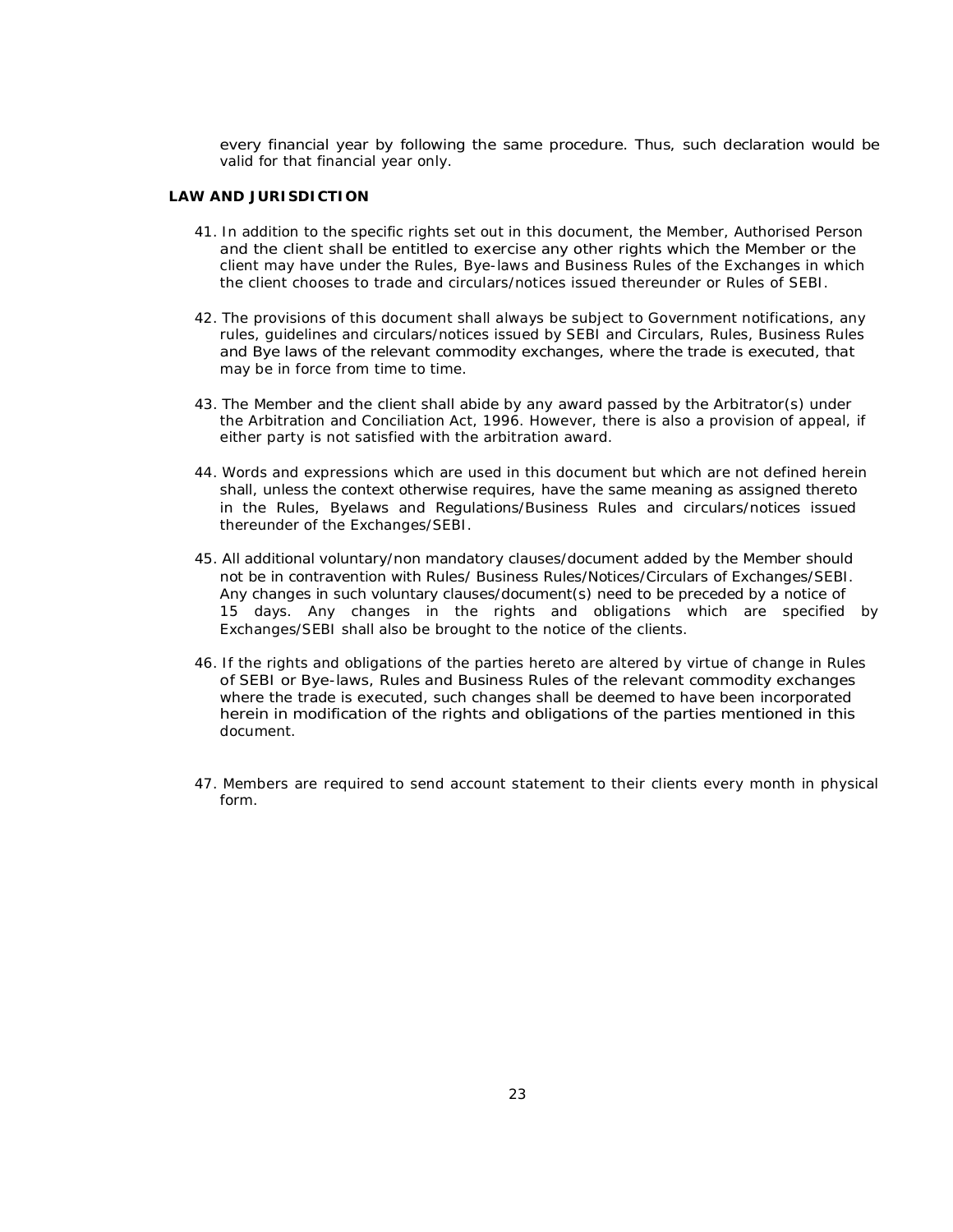every financial year by following the same procedure. Thus, such declaration would be valid for that financial year only.

#### **LAW AND JURISDICTION**

- 41. In addition to the specific rights set out in this document, the Member, Authorised Person and the client shall be entitled to exercise any other rights which the Member or the client may have under the Rules, Bye-laws and Business Rules of the Exchanges in which the client chooses to trade and circulars/notices issued thereunder or Rules of SEBI.
- 42. The provisions of this document shall always be subject to Government notifications, any rules, guidelines and circulars/notices issued by SEBI and Circulars, Rules, Business Rules and Bye laws of the relevant commodity exchanges, where the trade is executed, that may be in force from time to time.
- 43. The Member and the client shall abide by any award passed by the Arbitrator(s) under the Arbitration and Conciliation Act, 1996. However, there is also a provision of appeal, if either party is not satisfied with the arbitration award.
- 44. Words and expressions which are used in this document but which are not defined herein shall, unless the context otherwise requires, have the same meaning as assigned thereto in the Rules, Byelaws and Regulations/Business Rules and circulars/notices issued thereunder of the Exchanges/SEBI.
- 45. All additional voluntary/non mandatory clauses/document added by the Member should not be in contravention with Rules/ Business Rules/Notices/Circulars of Exchanges/SEBI. Any changes in such voluntary clauses/document(s) need to be preceded by a notice of 15 days. Any changes in the rights and obligations which are specified by Exchanges/SEBI shall also be brought to the notice of the clients.
- 46. If the rights and obligations of the parties hereto are altered by virtue of change in Rules of SEBI or Bye-laws, Rules and Business Rules of the relevant commodity exchanges where the trade is executed, such changes shall be deemed to have been incorporated herein in modification of the rights and obligations of the parties mentioned in this document.
- 47. Members are required to send account statement to their clients every month in physical form.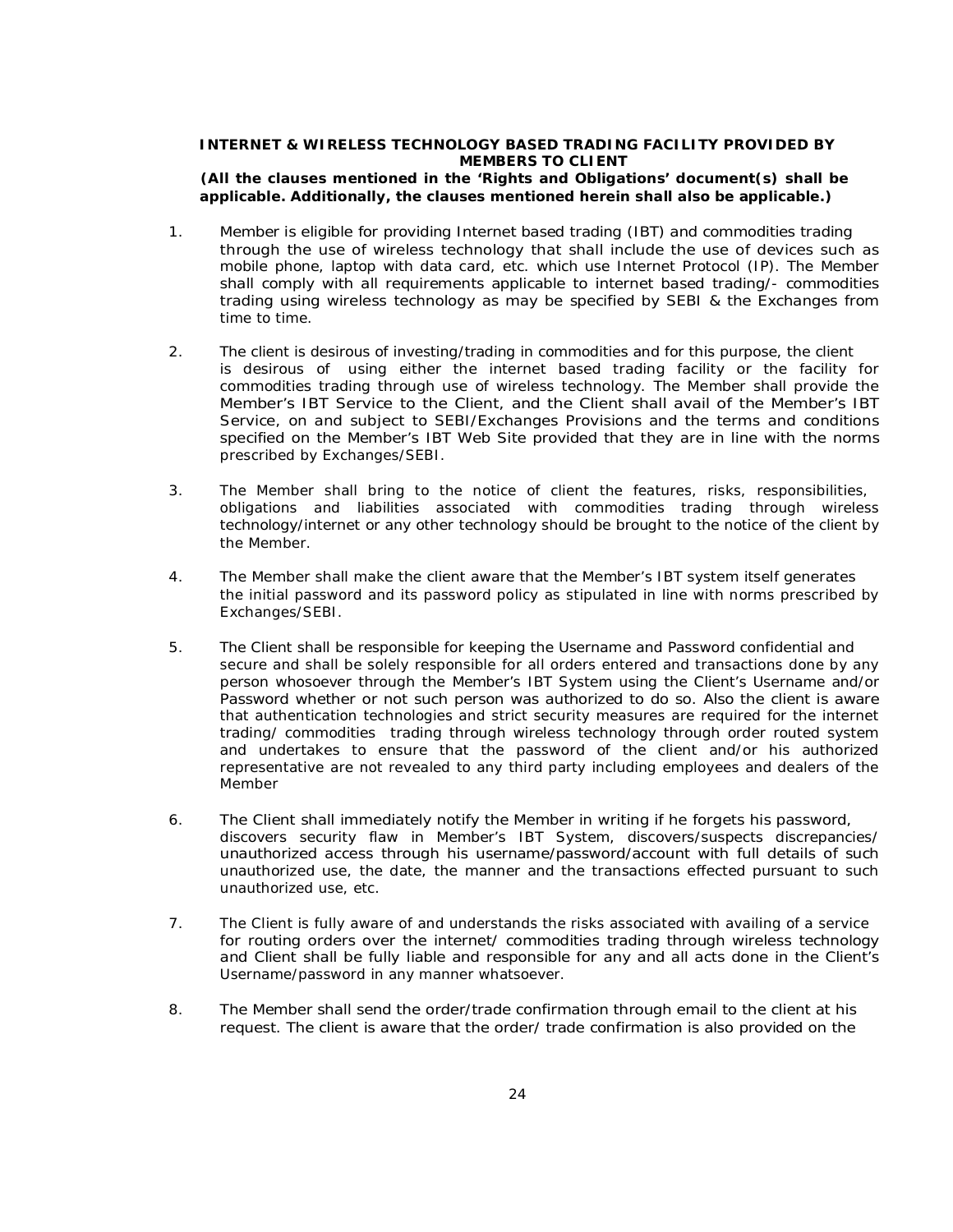### **INTERNET & WIRELESS TECHNOLOGY BASED TRADING FACILITY PROVIDED BY MEMBERS TO CLIENT**

### **(All the clauses mentioned in the** *'Rights and Obligations'* **document(s) shall be applicable. Additionally, the clauses mentioned herein shall also be applicable.)**

- 1. Member is eligible for providing Internet based trading (IBT) and commodities trading through the use of wireless technology that shall include the use of devices such as mobile phone, laptop with data card, etc. which use Internet Protocol (IP). The Member shall comply with all requirements applicable to internet based trading/- commodities trading using wireless technology as may be specified by SEBI & the Exchanges from time to time.
- 2. The client is desirous of investing/trading in commodities and for this purpose, the client is desirous of using either the internet based trading facility or the facility for commodities trading through use of wireless technology. The Member shall provide the Member's IBT Service to the Client, and the Client shall avail of the Member's IBT Service, on and subject to SEBI/Exchanges Provisions and the terms and conditions specified on the Member's IBT Web Site provided that they are in line with the norms prescribed by Exchanges/SEBI.
- 3. The Member shall bring to the notice of client the features, risks, responsibilities, obligations and liabilities associated with commodities trading through wireless technology/internet or any other technology should be brought to the notice of the client by the Member.
- 4. The Member shall make the client aware that the Member's IBT system itself generates the initial password and its password policy as stipulated in line with norms prescribed by Exchanges/SEBI.
- 5. The Client shall be responsible for keeping the Username and Password confidential and secure and shall be solely responsible for all orders entered and transactions done by any person whosoever through the Member's IBT System using the Client's Username and/or Password whether or not such person was authorized to do so. Also the client is aware that authentication technologies and strict security measures are required for the internet trading/ commodities trading through wireless technology through order routed system and undertakes to ensure that the password of the client and/or his authorized representative are not revealed to any third party including employees and dealers of the Member
- 6. The Client shall immediately notify the Member in writing if he forgets his password, discovers security flaw in Member's IBT System, discovers/suspects discrepancies/ unauthorized access through his username/password/account with full details of such unauthorized use, the date, the manner and the transactions effected pursuant to such unauthorized use, etc.
- 7. The Client is fully aware of and understands the risks associated with availing of a service for routing orders over the internet/ commodities trading through wireless technology and Client shall be fully liable and responsible for any and all acts done in the Client's Username/password in any manner whatsoever.
- 8. The Member shall send the order/trade confirmation through email to the client at his request. The client is aware that the order/ trade confirmation is also provided on the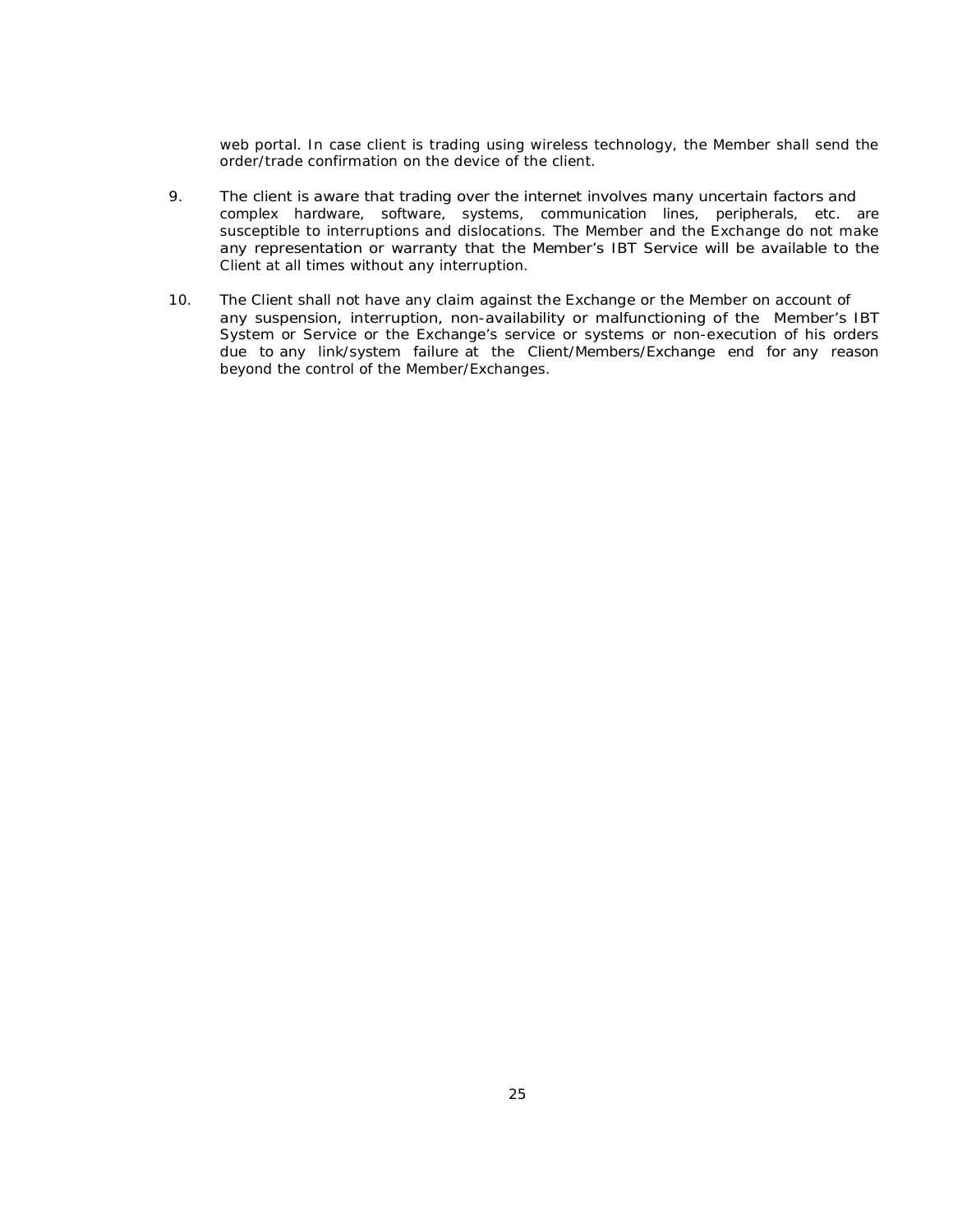web portal. In case client is trading using wireless technology, the Member shall send the order/trade confirmation on the device of the client.

- 9. The client is aware that trading over the internet involves many uncertain factors and complex hardware, software, systems, communication lines, peripherals, etc. are susceptible to interruptions and dislocations. The Member and the Exchange do not make any representation or warranty that the Member's IBT Service will be available to the Client at all times without any interruption.
- 10. The Client shall not have any claim against the Exchange or the Member on account of any suspension, interruption, non-availability or malfunctioning of the Member's IBT System or Service or the Exchange's service or systems or non-execution of his orders due to any link/system failure at the Client/Members/Exchange end for any reason beyond the control of the Member/Exchanges.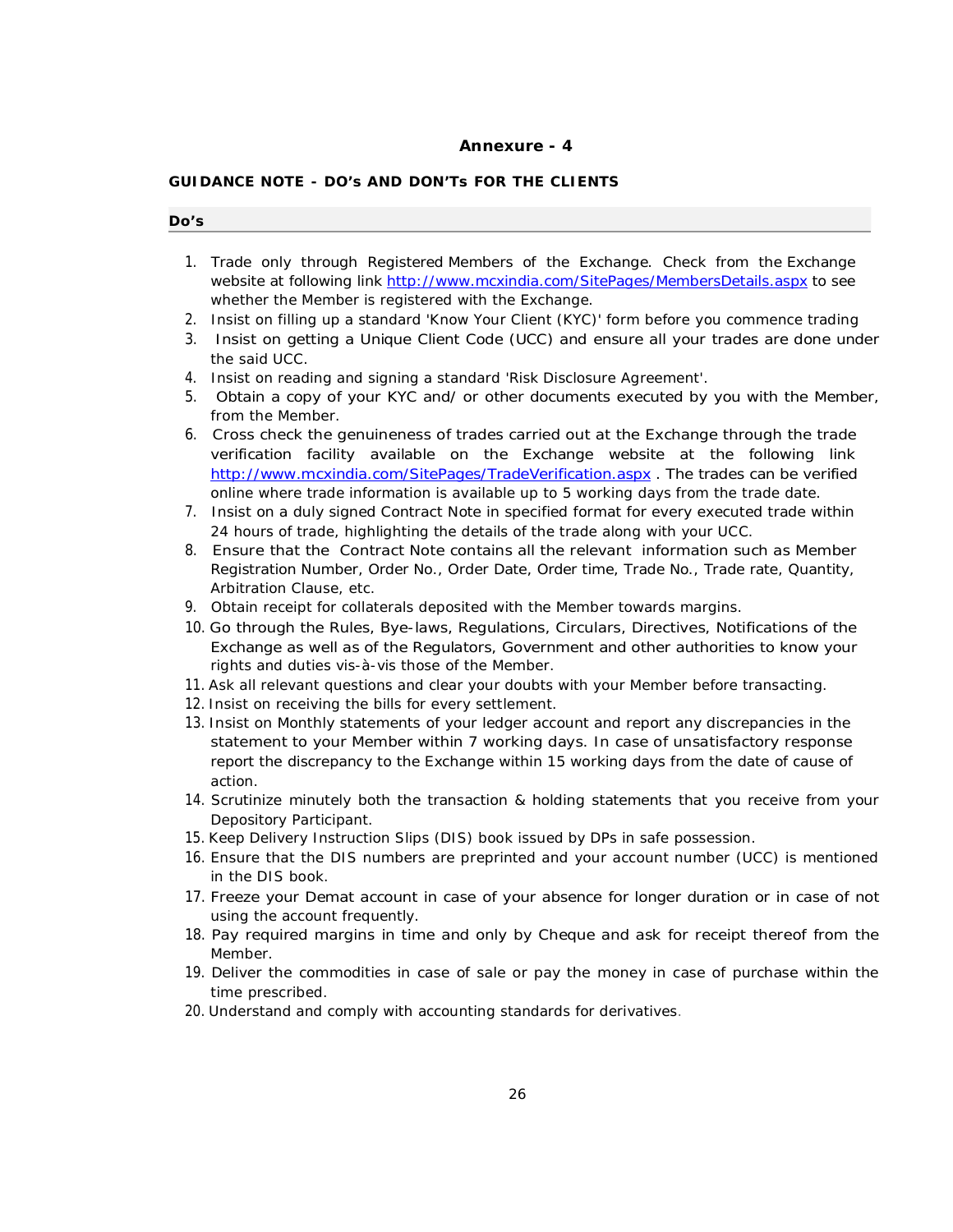### **Annexure - 4**

# **GUIDANCE NOTE - DO's AND DON'Ts FOR THE CLIENTS**

| Do's |                                                                                                                                                                                                                                                                                                                                                       |
|------|-------------------------------------------------------------------------------------------------------------------------------------------------------------------------------------------------------------------------------------------------------------------------------------------------------------------------------------------------------|
| 1.   | Trade only through Registered Members of the Exchange. Check from the Exchange<br>website at following link http://www.mcxindia.com/SitePages/MembersDetails.aspx to see<br>whether the Member is registered with the Exchange.                                                                                                                       |
|      | 2. Insist on filling up a standard 'Know Your Client (KYC)' form before you commence trading                                                                                                                                                                                                                                                          |
| 3.   | Insist on getting a Unique Client Code (UCC) and ensure all your trades are done under<br>the said UCC.                                                                                                                                                                                                                                               |
| 4.   | Insist on reading and signing a standard 'Risk Disclosure Agreement'.                                                                                                                                                                                                                                                                                 |
| 5.   | Obtain a copy of your KYC and/ or other documents executed by you with the Member,<br>from the Member.                                                                                                                                                                                                                                                |
| 6.   | Cross check the genuineness of trades carried out at the Exchange through the trade<br>verification facility available on the Exchange website at the following link<br>http://www.mcxindia.com/SitePages/TradeVerification.aspx. The trades can be verified<br>online where trade information is available up to 5 working days from the trade date. |
| 7.   | Insist on a duly signed Contract Note in specified format for every executed trade within<br>24 hours of trade, highlighting the details of the trade along with your UCC.                                                                                                                                                                            |
| 8.   | Ensure that the Contract Note contains all the relevant information such as Member<br>Registration Number, Order No., Order Date, Order time, Trade No., Trade rate, Quantity,<br>Arbitration Clause, etc.                                                                                                                                            |
|      | 9. Obtain receipt for collaterals deposited with the Member towards margins.                                                                                                                                                                                                                                                                          |
|      | 10. Go through the Rules, Bye-laws, Regulations, Circulars, Directives, Notifications of the<br>Exchange as well as of the Regulators, Government and other authorities to know your<br>rights and duties vis-à-vis those of the Member.                                                                                                              |
|      | 11. Ask all relevant questions and clear your doubts with your Member before transacting.<br>12. Insist on receiving the bills for every settlement.                                                                                                                                                                                                  |
|      | 13. Insist on Monthly statements of your ledger account and report any discrepancies in the<br>statement to your Member within 7 working days. In case of unsatisfactory response<br>report the discrepancy to the Exchange within 15 working days from the date of cause of<br>action.                                                               |
|      | 14. Scrutinize minutely both the transaction & holding statements that you receive from your<br>Depository Participant.                                                                                                                                                                                                                               |
|      | 15. Keep Delivery Instruction Slips (DIS) book issued by DPs in safe possession.<br>16. Ensure that the DIS numbers are preprinted and your account number (UCC) is mentioned<br>in the DIS book.                                                                                                                                                     |
|      | 17. Freeze your Demat account in case of your absence for longer duration or in case of not<br>using the account frequently.<br>18. Pay required margins in time and only by Cheque and ask for receipt thereof from the                                                                                                                              |
|      | Member.                                                                                                                                                                                                                                                                                                                                               |

- 19. Deliver the commodities in case of sale or pay the money in case of purchase within the time prescribed.
- 20. Understand and comply with accounting standards for derivatives.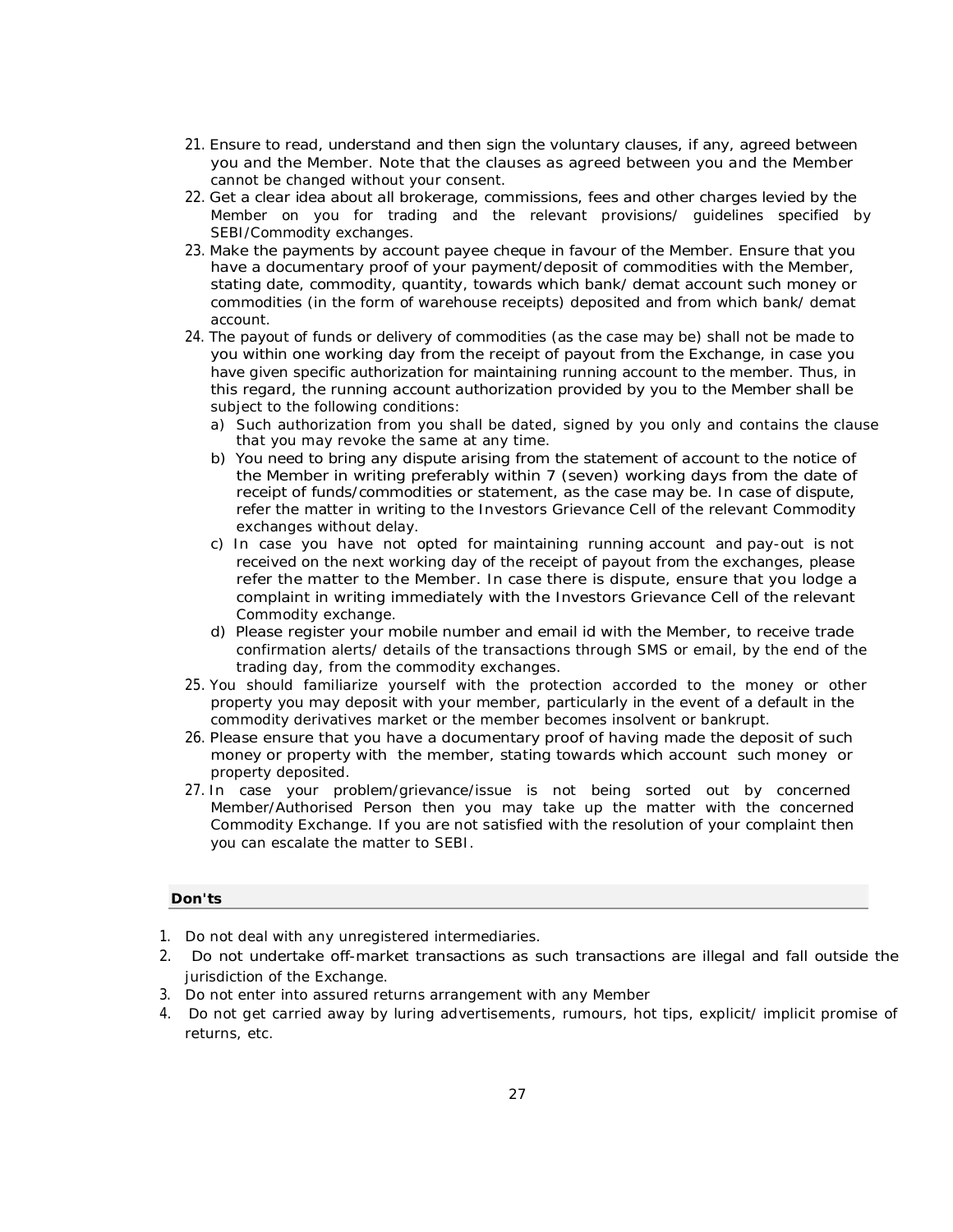- 21. Ensure to read, understand and then sign the voluntary clauses, if any, agreed between you and the Member. Note that the clauses as agreed between you and the Member cannot be changed without your consent.
- 22. Get a clear idea about all brokerage, commissions, fees and other charges levied by the Member on you for trading and the relevant provisions/ guidelines specified by SEBI/Commodity exchanges.
- 23. Make the payments by account payee cheque in favour of the Member. Ensure that you have a documentary proof of your payment/deposit of commodities with the Member, stating date, commodity, quantity, towards which bank/ demat account such money or commodities (in the form of warehouse receipts) deposited and from which bank/ demat account.
- 24. The payout of funds or delivery of commodities (as the case may be) shall not be made to you within one working day from the receipt of payout from the Exchange, in case you have given specific authorization for maintaining running account to the member. Thus, in this regard, the running account authorization provided by you to the Member shall be subject to the following conditions:
	- a) Such authorization from you shall be dated, signed by you only and contains the clause that you may revoke the same at any time.
	- b) You need to bring any dispute arising from the statement of account to the notice of the Member in writing preferably within 7 (seven) working days from the date of receipt of funds/commodities or statement, as the case may be. In case of dispute, refer the matter in writing to the Investors Grievance Cell of the relevant Commodity exchanges without delay.
	- c) In case you have not opted for maintaining running account and pay-out is not received on the next working day of the receipt of payout from the exchanges, please refer the matter to the Member. In case there is dispute, ensure that you lodge a complaint in writing immediately with the Investors Grievance Cell of the relevant Commodity exchange.
	- d) Please register your mobile number and email id with the Member, to receive trade confirmation alerts/ details of the transactions through SMS or email, by the end of the trading day, from the commodity exchanges.
- 25. You should familiarize yourself with the protection accorded to the money or other property you may deposit with your member, particularly in the event of a default in the commodity derivatives market or the member becomes insolvent or bankrupt.
- 26. Please ensure that you have a documentary proof of having made the deposit of such money or property with the member, stating towards which account such money or property deposited.
- 27. In case your problem/grievance/issue is not being sorted out by concerned Member/Authorised Person then you may take up the matter with the concerned Commodity Exchange. If you are not satisfied with the resolution of your complaint then you can escalate the matter to SEBI.

### **Don'ts**

- 1. Do not deal with any unregistered intermediaries.
- 2. Do not undertake off-market transactions as such transactions are illegal and fall outside the jurisdiction of the Exchange.
- 3. Do not enter into assured returns arrangement with any Member
- 4. Do not get carried away by luring advertisements, rumours, hot tips, explicit/ implicit promise of returns, etc.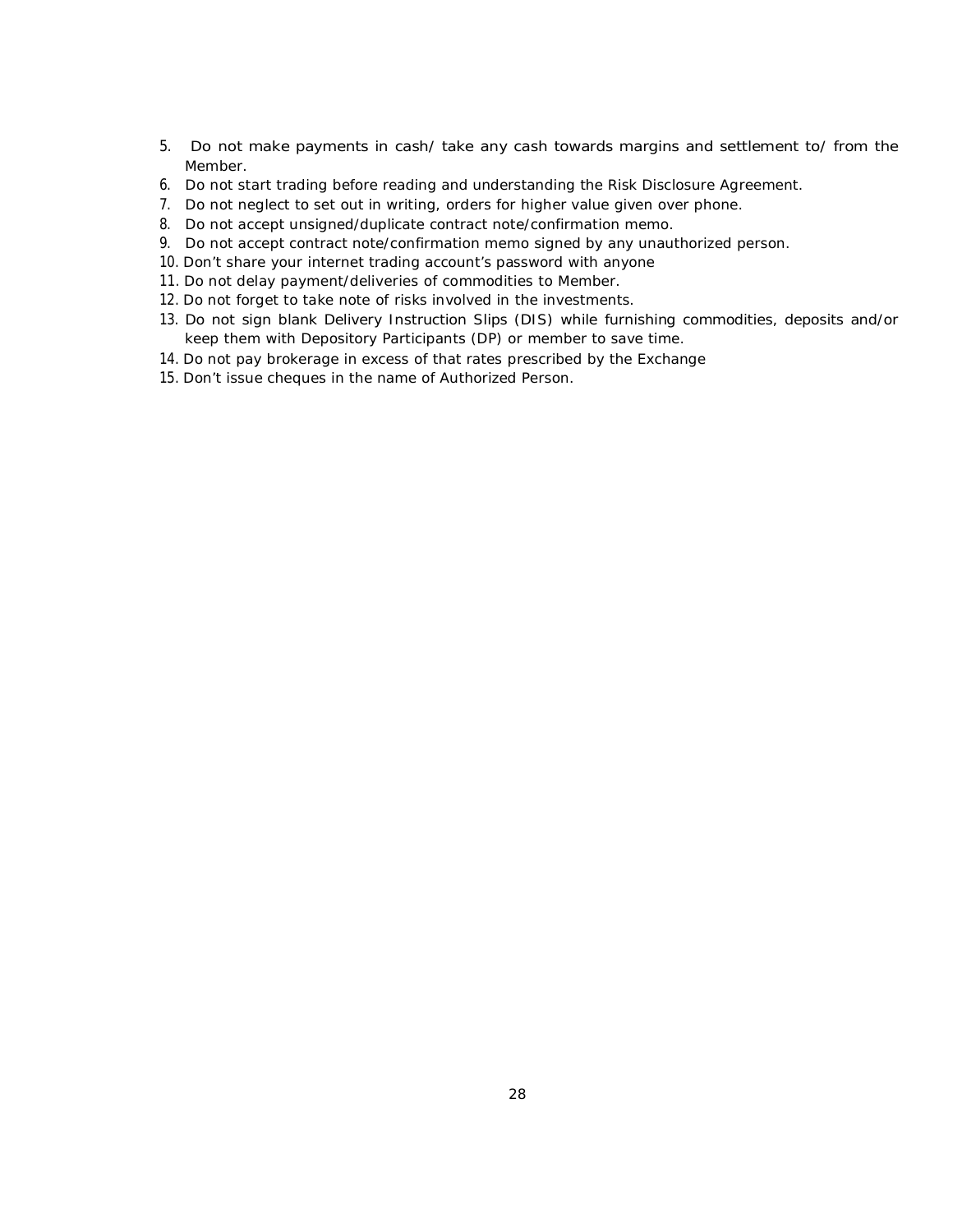- 5. Do not make payments in cash/ take any cash towards margins and settlement to/ from the Member.
- 6. Do not start trading before reading and understanding the Risk Disclosure Agreement.
- 7. Do not neglect to set out in writing, orders for higher value given over phone.
- 8. Do not accept unsigned/duplicate contract note/confirmation memo.
- 9. Do not accept contract note/confirmation memo signed by any unauthorized person.
- 10. Don't share your internet trading account's password with anyone
- 11. Do not delay payment/deliveries of commodities to Member.
- 12. Do not forget to take note of risks involved in the investments.
- 13. Do not sign blank Delivery Instruction Slips (DIS) while furnishing commodities, deposits and/or keep them with Depository Participants (DP) or member to save time.
- 14. Do not pay brokerage in excess of that rates prescribed by the Exchange
- 15. Don't issue cheques in the name of Authorized Person.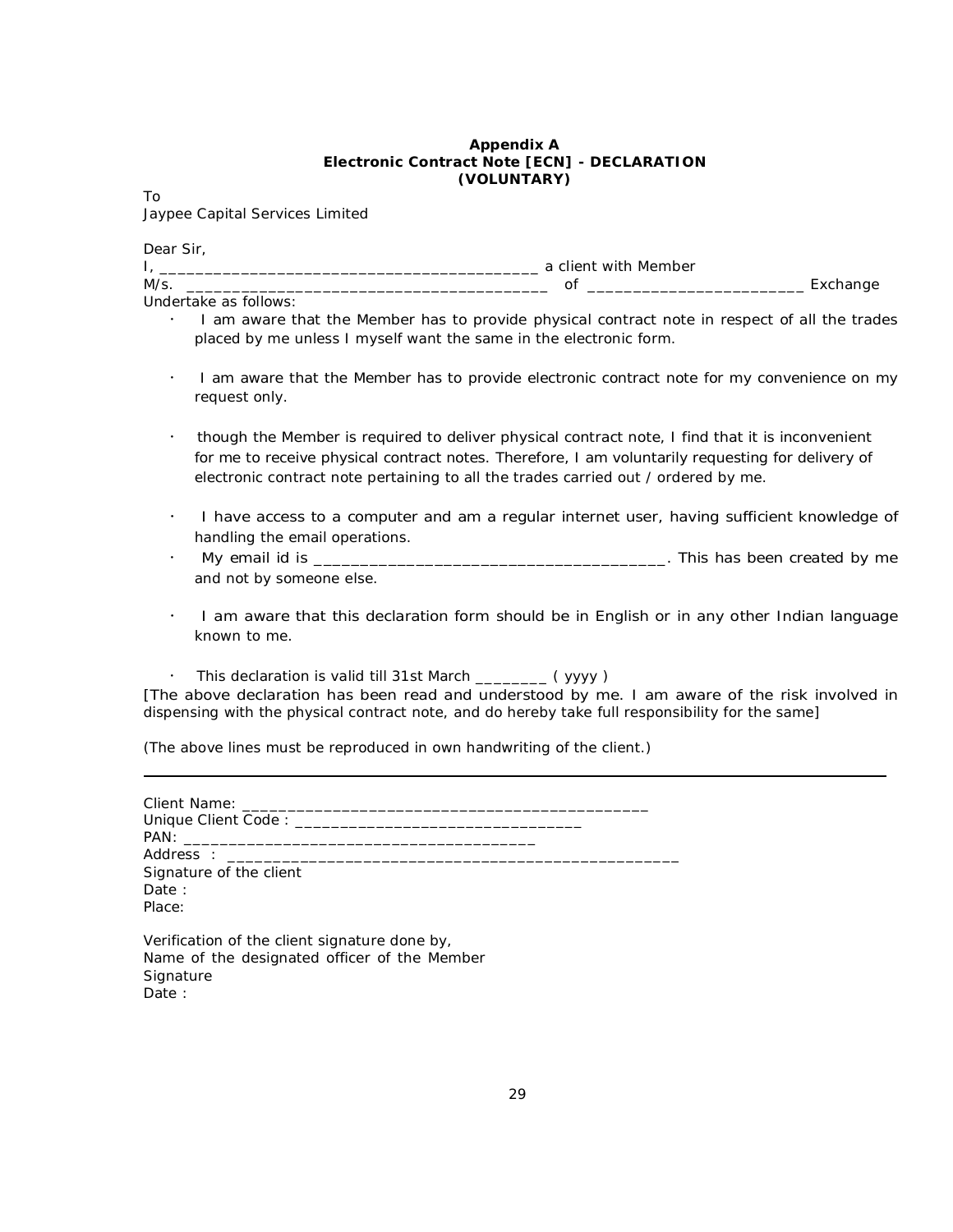#### **Appendix A Electronic Contract Note [ECN] - DECLARATION (VOLUNTARY)**

To

Jaypee Capital Services Limited

| Dear Sir, |                                                                                                                                                                                                                                                                                            |
|-----------|--------------------------------------------------------------------------------------------------------------------------------------------------------------------------------------------------------------------------------------------------------------------------------------------|
|           | a client with Member                                                                                                                                                                                                                                                                       |
| $M/s$ .   | of<br>Exchange                                                                                                                                                                                                                                                                             |
|           | Undertake as follows:                                                                                                                                                                                                                                                                      |
|           | I am aware that the Member has to provide physical contract note in respect of all the trades<br>placed by me unless I myself want the same in the electronic form.                                                                                                                        |
| $\bullet$ | I am aware that the Member has to provide electronic contract note for my convenience on my<br>request only.                                                                                                                                                                               |
| ٠         | though the Member is required to deliver physical contract note, I find that it is inconvenient<br>for me to receive physical contract notes. Therefore, I am voluntarily requesting for delivery of<br>electronic contract note pertaining to all the trades carried out / ordered by me. |

- I have access to a computer and am a regular internet user, having sufficient knowledge of handling the email operations.
- My email id is \_\_\_\_\_\_\_\_\_\_\_\_\_\_\_\_\_\_\_\_\_\_\_\_\_\_\_\_\_\_\_\_\_\_\_\_\_\_. This has been created by me and not by someone else.
- I am aware that this declaration form should be in English or in any other Indian language known to me.
- This declaration is valid till 31st March \_\_\_\_\_\_\_\_ ( yyyy )

[The above declaration has been read and understood by me. I am aware of the risk involved in dispensing with the physical contract note, and do hereby take full responsibility for the same]

(The above lines must be reproduced in own handwriting of the client.)

| Signature of the client<br>Date:<br>Place:                                                                 |  |
|------------------------------------------------------------------------------------------------------------|--|
| Verification of the client signature done by,<br>Name of the designated officer of the Member<br>Signature |  |

Date :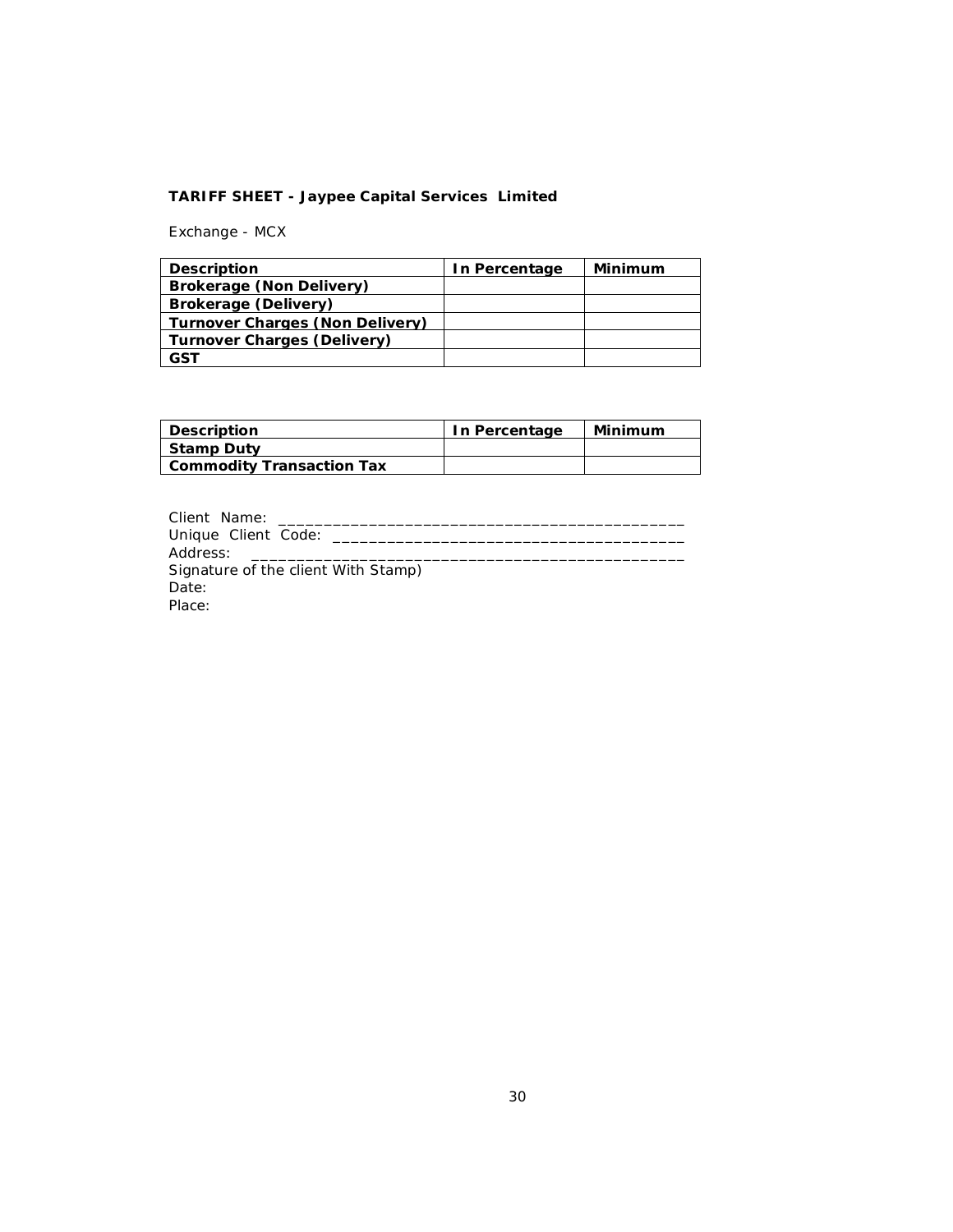## **TARIFF SHEET - Jaypee Capital Services Limited**

Exchange - MCX

| <b>Description</b>                 | In Percentage | Minimum |
|------------------------------------|---------------|---------|
| <b>Brokerage (Non Delivery)</b>    |               |         |
| Brokerage (Delivery)               |               |         |
| Turnover Charges (Non Delivery)    |               |         |
| <b>Turnover Charges (Delivery)</b> |               |         |
| GST                                |               |         |

| <b>Description</b>               | In Percentage | Minimum |
|----------------------------------|---------------|---------|
| <b>Stamp Duty</b>                |               |         |
| <b>Commodity Transaction Tax</b> |               |         |

| Client Name:<br>the control of the control of the control of |
|--------------------------------------------------------------|
|                                                              |
|                                                              |
| Signature of the client With Stamp)                          |
| Date:                                                        |
| Place:                                                       |